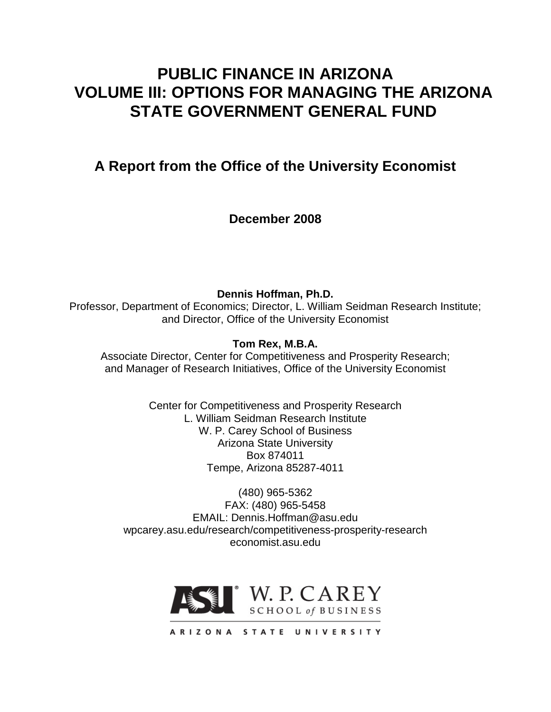## **PUBLIC FINANCE IN ARIZONA VOLUME III: OPTIONS FOR MANAGING THE ARIZONA STATE GOVERNMENT GENERAL FUND**

**A Report from the Office of the University Economist**

**December 2008**

**Dennis Hoffman, Ph.D.** Professor, Department of Economics; Director, L. William Seidman Research Institute; and Director, Office of the University Economist

**Tom Rex, M.B.A.**

Associate Director, Center for Competitiveness and Prosperity Research; and Manager of Research Initiatives, Office of the University Economist

> Center for Competitiveness and Prosperity Research L. William Seidman Research Institute W. P. Carey School of Business Arizona State University Box 874011 Tempe, Arizona 85287-4011

(480) 965-5362 FAX: (480) 965-5458 EMAIL: Dennis.Hoffman@asu.edu wpcarey.asu.edu/research/competitiveness-prosperity-research economist.asu.edu

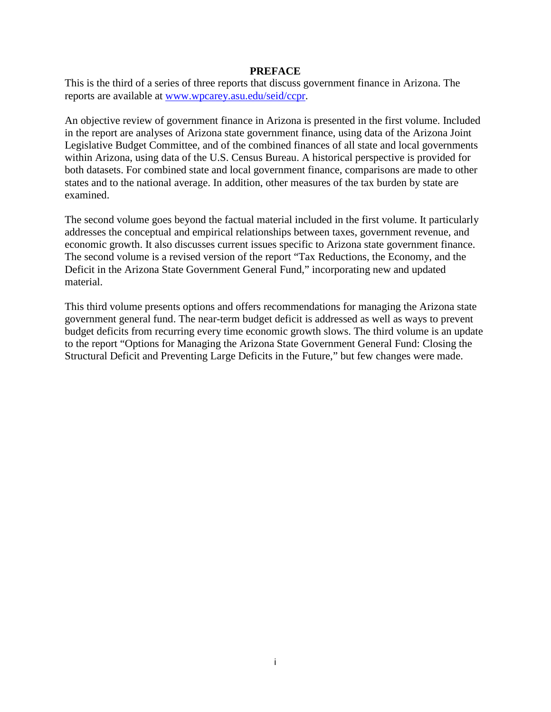#### **PREFACE**

This is the third of a series of three reports that discuss government finance in Arizona. The reports are available at www.wpcarey.asu.edu/seid/ccpr.

An objective review of government finance in Arizona is presented in the first volume. Included in the report are analyses of Arizona state government finance, using data of the Arizona Joint Legislative Budget Committee, and of the combined finances of all state and local governments within Arizona, using data of the U.S. Census Bureau. A historical perspective is provided for both datasets. For combined state and local government finance, comparisons are made to other states and to the national average. In addition, other measures of the tax burden by state are examined.

The second volume goes beyond the factual material included in the first volume. It particularly addresses the conceptual and empirical relationships between taxes, government revenue, and economic growth. It also discusses current issues specific to Arizona state government finance. The second volume is a revised version of the report "Tax Reductions, the Economy, and the Deficit in the Arizona State Government General Fund," incorporating new and updated material.

This third volume presents options and offers recommendations for managing the Arizona state government general fund. The near-term budget deficit is addressed as well as ways to prevent budget deficits from recurring every time economic growth slows. The third volume is an update to the report "Options for Managing the Arizona State Government General Fund: Closing the Structural Deficit and Preventing Large Deficits in the Future," but few changes were made.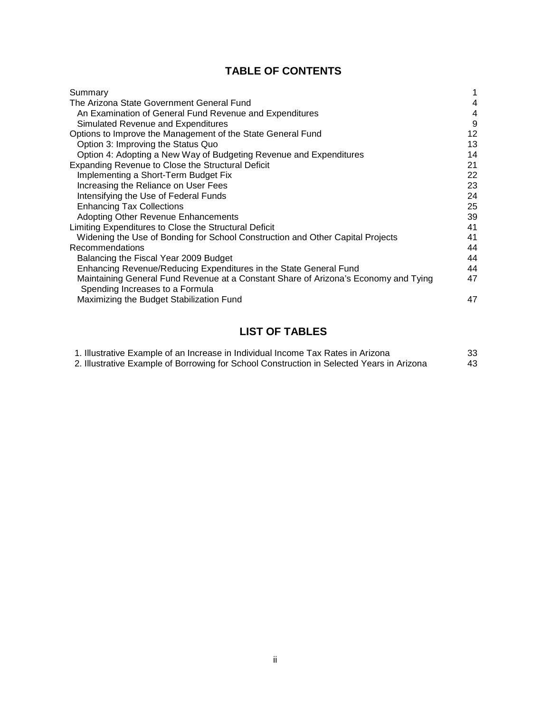## **TABLE OF CONTENTS**

| Summary                                                                                                                |    |
|------------------------------------------------------------------------------------------------------------------------|----|
| The Arizona State Government General Fund                                                                              | 4  |
| An Examination of General Fund Revenue and Expenditures                                                                | 4  |
| Simulated Revenue and Expenditures                                                                                     | 9  |
| Options to Improve the Management of the State General Fund                                                            | 12 |
| Option 3: Improving the Status Quo                                                                                     | 13 |
| Option 4: Adopting a New Way of Budgeting Revenue and Expenditures                                                     | 14 |
| Expanding Revenue to Close the Structural Deficit                                                                      | 21 |
| Implementing a Short-Term Budget Fix                                                                                   | 22 |
| Increasing the Reliance on User Fees                                                                                   | 23 |
| Intensifying the Use of Federal Funds                                                                                  | 24 |
| <b>Enhancing Tax Collections</b>                                                                                       | 25 |
| Adopting Other Revenue Enhancements                                                                                    | 39 |
| Limiting Expenditures to Close the Structural Deficit                                                                  | 41 |
| Widening the Use of Bonding for School Construction and Other Capital Projects                                         | 41 |
| Recommendations                                                                                                        | 44 |
| Balancing the Fiscal Year 2009 Budget                                                                                  | 44 |
| Enhancing Revenue/Reducing Expenditures in the State General Fund                                                      | 44 |
| Maintaining General Fund Revenue at a Constant Share of Arizona's Economy and Tying<br>Spending Increases to a Formula | 47 |
| Maximizing the Budget Stabilization Fund                                                                               | 47 |

## **LIST OF TABLES**

| 1. Illustrative Example of an Increase in Individual Income Tax Rates in Arizona          | 33 |
|-------------------------------------------------------------------------------------------|----|
| 2. Illustrative Example of Borrowing for School Construction in Selected Years in Arizona | 43 |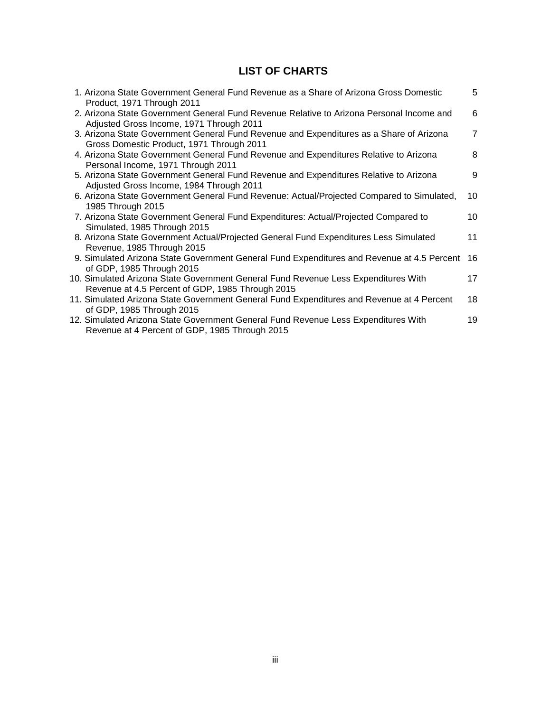## **LIST OF CHARTS**

| 5              |
|----------------|
| 6              |
| $\overline{7}$ |
| 8              |
| 9              |
| 10             |
| 10             |
| 11             |
| 16             |
| 17             |
| 18             |
| 19             |
|                |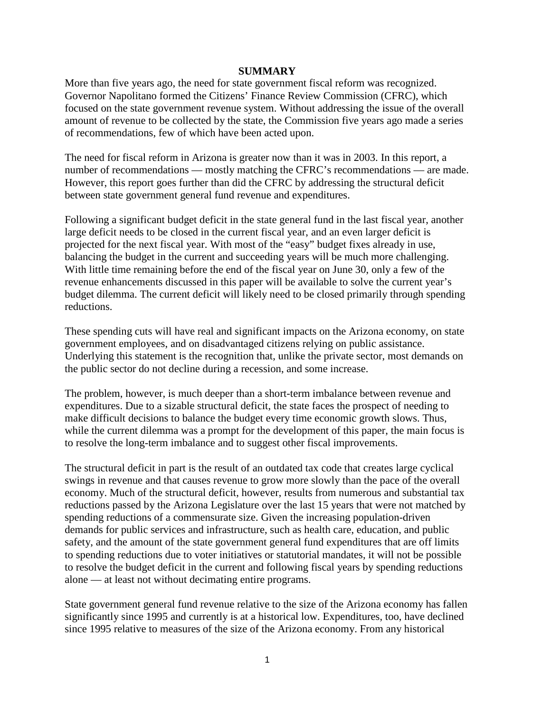#### **SUMMARY**

More than five years ago, the need for state government fiscal reform was recognized. Governor Napolitano formed the Citizens' Finance Review Commission (CFRC), which focused on the state government revenue system. Without addressing the issue of the overall amount of revenue to be collected by the state, the Commission five years ago made a series of recommendations, few of which have been acted upon.

The need for fiscal reform in Arizona is greater now than it was in 2003. In this report, a number of recommendations — mostly matching the CFRC's recommendations — are made. However, this report goes further than did the CFRC by addressing the structural deficit between state government general fund revenue and expenditures.

Following a significant budget deficit in the state general fund in the last fiscal year, another large deficit needs to be closed in the current fiscal year, and an even larger deficit is projected for the next fiscal year. With most of the "easy" budget fixes already in use, balancing the budget in the current and succeeding years will be much more challenging. With little time remaining before the end of the fiscal year on June 30, only a few of the revenue enhancements discussed in this paper will be available to solve the current year's budget dilemma. The current deficit will likely need to be closed primarily through spending reductions.

These spending cuts will have real and significant impacts on the Arizona economy, on state government employees, and on disadvantaged citizens relying on public assistance. Underlying this statement is the recognition that, unlike the private sector, most demands on the public sector do not decline during a recession, and some increase.

The problem, however, is much deeper than a short-term imbalance between revenue and expenditures. Due to a sizable structural deficit, the state faces the prospect of needing to make difficult decisions to balance the budget every time economic growth slows. Thus, while the current dilemma was a prompt for the development of this paper, the main focus is to resolve the long-term imbalance and to suggest other fiscal improvements.

The structural deficit in part is the result of an outdated tax code that creates large cyclical swings in revenue and that causes revenue to grow more slowly than the pace of the overall economy. Much of the structural deficit, however, results from numerous and substantial tax reductions passed by the Arizona Legislature over the last 15 years that were not matched by spending reductions of a commensurate size. Given the increasing population-driven demands for public services and infrastructure, such as health care, education, and public safety, and the amount of the state government general fund expenditures that are off limits to spending reductions due to voter initiatives or statutorial mandates, it will not be possible to resolve the budget deficit in the current and following fiscal years by spending reductions alone — at least not without decimating entire programs.

State government general fund revenue relative to the size of the Arizona economy has fallen significantly since 1995 and currently is at a historical low. Expenditures, too, have declined since 1995 relative to measures of the size of the Arizona economy. From any historical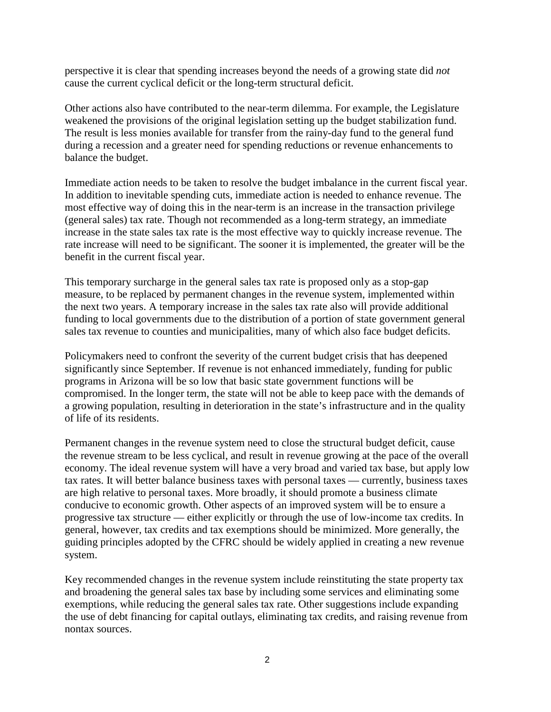perspective it is clear that spending increases beyond the needs of a growing state did *not* cause the current cyclical deficit or the long-term structural deficit.

Other actions also have contributed to the near-term dilemma. For example, the Legislature weakened the provisions of the original legislation setting up the budget stabilization fund. The result is less monies available for transfer from the rainy-day fund to the general fund during a recession and a greater need for spending reductions or revenue enhancements to balance the budget.

Immediate action needs to be taken to resolve the budget imbalance in the current fiscal year. In addition to inevitable spending cuts, immediate action is needed to enhance revenue. The most effective way of doing this in the near-term is an increase in the transaction privilege (general sales) tax rate. Though not recommended as a long-term strategy, an immediate increase in the state sales tax rate is the most effective way to quickly increase revenue. The rate increase will need to be significant. The sooner it is implemented, the greater will be the benefit in the current fiscal year.

This temporary surcharge in the general sales tax rate is proposed only as a stop-gap measure, to be replaced by permanent changes in the revenue system, implemented within the next two years. A temporary increase in the sales tax rate also will provide additional funding to local governments due to the distribution of a portion of state government general sales tax revenue to counties and municipalities, many of which also face budget deficits.

Policymakers need to confront the severity of the current budget crisis that has deepened significantly since September. If revenue is not enhanced immediately, funding for public programs in Arizona will be so low that basic state government functions will be compromised. In the longer term, the state will not be able to keep pace with the demands of a growing population, resulting in deterioration in the state's infrastructure and in the quality of life of its residents.

Permanent changes in the revenue system need to close the structural budget deficit, cause the revenue stream to be less cyclical, and result in revenue growing at the pace of the overall economy. The ideal revenue system will have a very broad and varied tax base, but apply low tax rates. It will better balance business taxes with personal taxes — currently, business taxes are high relative to personal taxes. More broadly, it should promote a business climate conducive to economic growth. Other aspects of an improved system will be to ensure a progressive tax structure — either explicitly or through the use of low-income tax credits. In general, however, tax credits and tax exemptions should be minimized. More generally, the guiding principles adopted by the CFRC should be widely applied in creating a new revenue system.

Key recommended changes in the revenue system include reinstituting the state property tax and broadening the general sales tax base by including some services and eliminating some exemptions, while reducing the general sales tax rate. Other suggestions include expanding the use of debt financing for capital outlays, eliminating tax credits, and raising revenue from nontax sources.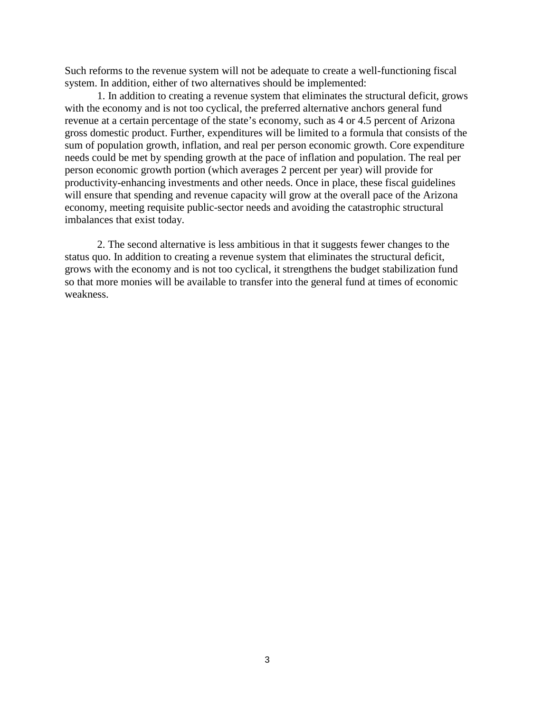Such reforms to the revenue system will not be adequate to create a well-functioning fiscal system. In addition, either of two alternatives should be implemented:

1. In addition to creating a revenue system that eliminates the structural deficit, grows with the economy and is not too cyclical, the preferred alternative anchors general fund revenue at a certain percentage of the state's economy, such as 4 or 4.5 percent of Arizona gross domestic product. Further, expenditures will be limited to a formula that consists of the sum of population growth, inflation, and real per person economic growth. Core expenditure needs could be met by spending growth at the pace of inflation and population. The real per person economic growth portion (which averages 2 percent per year) will provide for productivity-enhancing investments and other needs. Once in place, these fiscal guidelines will ensure that spending and revenue capacity will grow at the overall pace of the Arizona economy, meeting requisite public-sector needs and avoiding the catastrophic structural imbalances that exist today.

2. The second alternative is less ambitious in that it suggests fewer changes to the status quo. In addition to creating a revenue system that eliminates the structural deficit, grows with the economy and is not too cyclical, it strengthens the budget stabilization fund so that more monies will be available to transfer into the general fund at times of economic weakness.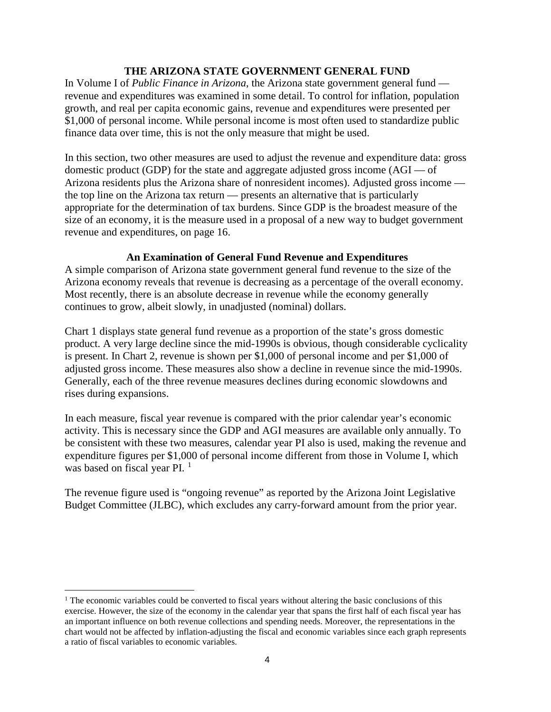#### **THE ARIZONA STATE GOVERNMENT GENERAL FUND**

In Volume I of *Public Finance in Arizona*, the Arizona state government general fund revenue and expenditures was examined in some detail. To control for inflation, population growth, and real per capita economic gains, revenue and expenditures were presented per \$1,000 of personal income. While personal income is most often used to standardize public finance data over time, this is not the only measure that might be used.

In this section, two other measures are used to adjust the revenue and expenditure data: gross domestic product (GDP) for the state and aggregate adjusted gross income (AGI — of Arizona residents plus the Arizona share of nonresident incomes). Adjusted gross income the top line on the Arizona tax return — presents an alternative that is particularly appropriate for the determination of tax burdens. Since GDP is the broadest measure of the size of an economy, it is the measure used in a proposal of a new way to budget government revenue and expenditures, on page 16.

#### **An Examination of General Fund Revenue and Expenditures**

A simple comparison of Arizona state government general fund revenue to the size of the Arizona economy reveals that revenue is decreasing as a percentage of the overall economy. Most recently, there is an absolute decrease in revenue while the economy generally continues to grow, albeit slowly, in unadjusted (nominal) dollars.

Chart 1 displays state general fund revenue as a proportion of the state's gross domestic product. A very large decline since the mid-1990s is obvious, though considerable cyclicality is present. In Chart 2, revenue is shown per \$1,000 of personal income and per \$1,000 of adjusted gross income. These measures also show a decline in revenue since the mid-1990s. Generally, each of the three revenue measures declines during economic slowdowns and rises during expansions.

In each measure, fiscal year revenue is compared with the prior calendar year's economic activity. This is necessary since the GDP and AGI measures are available only annually. To be consistent with these two measures, calendar year PI also is used, making the revenue and expenditure figures per \$1,000 of personal income different from those in Volume I, which was based on fiscal year PI.<sup>[1](#page-7-0)</sup>

The revenue figure used is "ongoing revenue" as reported by the Arizona Joint Legislative Budget Committee (JLBC), which excludes any carry-forward amount from the prior year.

 $\overline{a}$ 

<span id="page-7-0"></span> $<sup>1</sup>$  The economic variables could be converted to fiscal years without altering the basic conclusions of this</sup> exercise. However, the size of the economy in the calendar year that spans the first half of each fiscal year has an important influence on both revenue collections and spending needs. Moreover, the representations in the chart would not be affected by inflation-adjusting the fiscal and economic variables since each graph represents a ratio of fiscal variables to economic variables.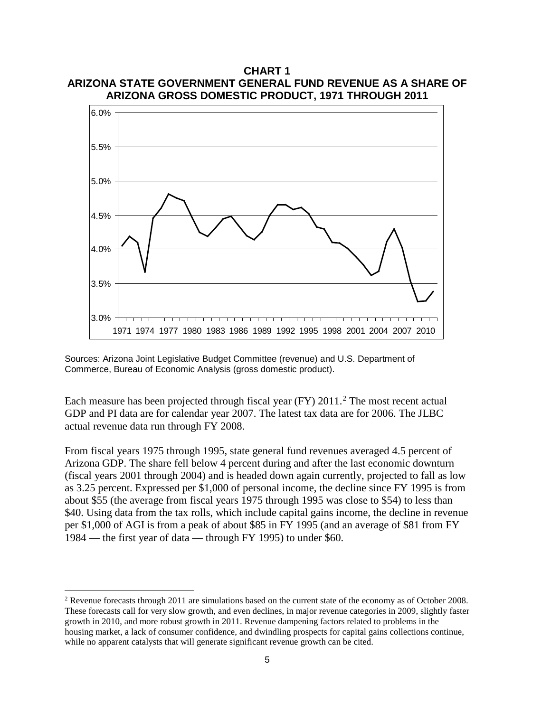

**CHART 1 ARIZONA STATE GOVERNMENT GENERAL FUND REVENUE AS A SHARE OF** 

Sources: Arizona Joint Legislative Budget Committee (revenue) and U.S. Department of Commerce, Bureau of Economic Analysis (gross domestic product).

Each measure has been projected through fiscal year (FY)  $2011<sup>2</sup>$  $2011<sup>2</sup>$  The most recent actual GDP and PI data are for calendar year 2007. The latest tax data are for 2006. The JLBC actual revenue data run through FY 2008.

From fiscal years 1975 through 1995, state general fund revenues averaged 4.5 percent of Arizona GDP. The share fell below 4 percent during and after the last economic downturn (fiscal years 2001 through 2004) and is headed down again currently, projected to fall as low as 3.25 percent. Expressed per \$1,000 of personal income, the decline since FY 1995 is from about \$55 (the average from fiscal years 1975 through 1995 was close to \$54) to less than \$40. Using data from the tax rolls, which include capital gains income, the decline in revenue per \$1,000 of AGI is from a peak of about \$85 in FY 1995 (and an average of \$81 from FY 1984 — the first year of data — through FY 1995) to under \$60.

 $\overline{a}$ 

<span id="page-8-0"></span><sup>&</sup>lt;sup>2</sup> Revenue forecasts through 2011 are simulations based on the current state of the economy as of October 2008. These forecasts call for very slow growth, and even declines, in major revenue categories in 2009, slightly faster growth in 2010, and more robust growth in 2011. Revenue dampening factors related to problems in the housing market, a lack of consumer confidence, and dwindling prospects for capital gains collections continue, while no apparent catalysts that will generate significant revenue growth can be cited.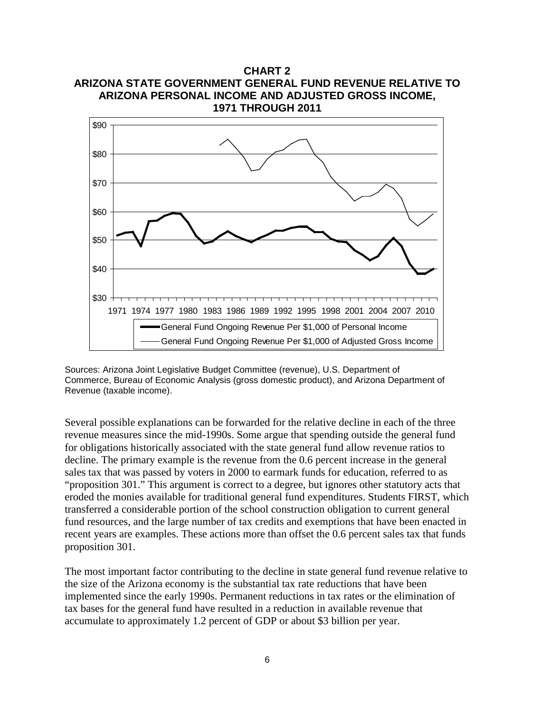

**CHART 2 ARIZONA STATE GOVERNMENT GENERAL FUND REVENUE RELATIVE TO**

Sources: Arizona Joint Legislative Budget Committee (revenue), U.S. Department of Commerce, Bureau of Economic Analysis (gross domestic product), and Arizona Department of Revenue (taxable income).

Several possible explanations can be forwarded for the relative decline in each of the three revenue measures since the mid-1990s. Some argue that spending outside the general fund for obligations historically associated with the state general fund allow revenue ratios to decline. The primary example is the revenue from the 0.6 percent increase in the general sales tax that was passed by voters in 2000 to earmark funds for education, referred to as "proposition 301." This argument is correct to a degree, but ignores other statutory acts that eroded the monies available for traditional general fund expenditures. Students FIRST, which transferred a considerable portion of the school construction obligation to current general fund resources, and the large number of tax credits and exemptions that have been enacted in recent years are examples. These actions more than offset the 0.6 percent sales tax that funds proposition 301.

The most important factor contributing to the decline in state general fund revenue relative to the size of the Arizona economy is the substantial tax rate reductions that have been implemented since the early 1990s. Permanent reductions in tax rates or the elimination of tax bases for the general fund have resulted in a reduction in available revenue that accumulate to approximately 1.2 percent of GDP or about \$3 billion per year.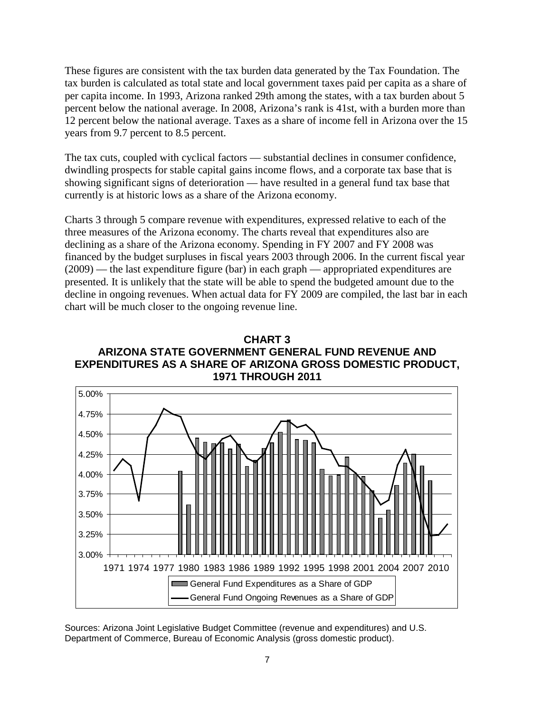These figures are consistent with the tax burden data generated by the Tax Foundation. The tax burden is calculated as total state and local government taxes paid per capita as a share of per capita income. In 1993, Arizona ranked 29th among the states, with a tax burden about 5 percent below the national average. In 2008, Arizona's rank is 41st, with a burden more than 12 percent below the national average. Taxes as a share of income fell in Arizona over the 15 years from 9.7 percent to 8.5 percent.

The tax cuts, coupled with cyclical factors — substantial declines in consumer confidence, dwindling prospects for stable capital gains income flows, and a corporate tax base that is showing significant signs of deterioration — have resulted in a general fund tax base that currently is at historic lows as a share of the Arizona economy.

Charts 3 through 5 compare revenue with expenditures, expressed relative to each of the three measures of the Arizona economy. The charts reveal that expenditures also are declining as a share of the Arizona economy. Spending in FY 2007 and FY 2008 was financed by the budget surpluses in fiscal years 2003 through 2006. In the current fiscal year (2009) — the last expenditure figure (bar) in each graph — appropriated expenditures are presented. It is unlikely that the state will be able to spend the budgeted amount due to the decline in ongoing revenues. When actual data for FY 2009 are compiled, the last bar in each chart will be much closer to the ongoing revenue line.





Sources: Arizona Joint Legislative Budget Committee (revenue and expenditures) and U.S. Department of Commerce, Bureau of Economic Analysis (gross domestic product).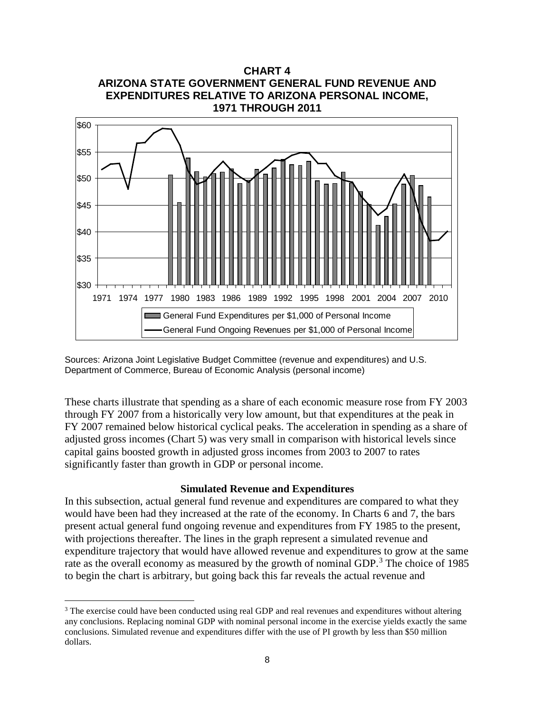

Sources: Arizona Joint Legislative Budget Committee (revenue and expenditures) and U.S. Department of Commerce, Bureau of Economic Analysis (personal income)

These charts illustrate that spending as a share of each economic measure rose from FY 2003 through FY 2007 from a historically very low amount, but that expenditures at the peak in FY 2007 remained below historical cyclical peaks. The acceleration in spending as a share of adjusted gross incomes (Chart 5) was very small in comparison with historical levels since capital gains boosted growth in adjusted gross incomes from 2003 to 2007 to rates significantly faster than growth in GDP or personal income.

#### **Simulated Revenue and Expenditures**

In this subsection, actual general fund revenue and expenditures are compared to what they would have been had they increased at the rate of the economy. In Charts 6 and 7, the bars present actual general fund ongoing revenue and expenditures from FY 1985 to the present, with projections thereafter. The lines in the graph represent a simulated revenue and expenditure trajectory that would have allowed revenue and expenditures to grow at the same rate as the overall economy as measured by the growth of nominal GDP.<sup>[3](#page-11-0)</sup> The choice of 1985 to begin the chart is arbitrary, but going back this far reveals the actual revenue and

 $\overline{a}$ 

<span id="page-11-0"></span><sup>&</sup>lt;sup>3</sup> The exercise could have been conducted using real GDP and real revenues and expenditures without altering any conclusions. Replacing nominal GDP with nominal personal income in the exercise yields exactly the same conclusions. Simulated revenue and expenditures differ with the use of PI growth by less than \$50 million dollars.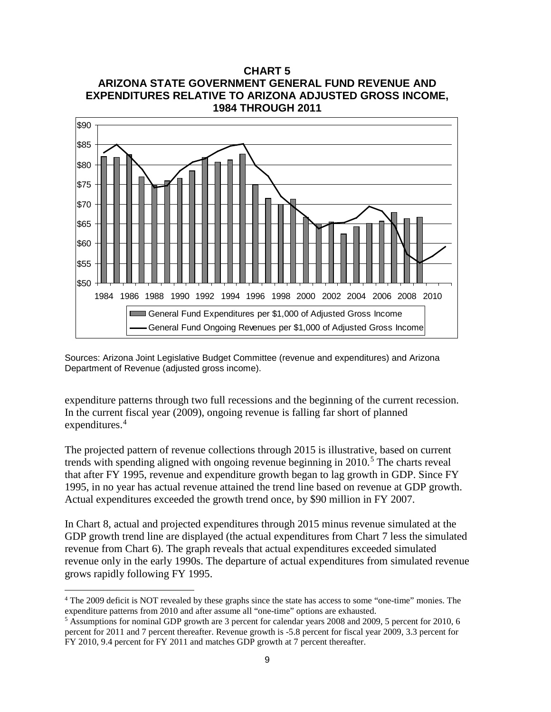



Sources: Arizona Joint Legislative Budget Committee (revenue and expenditures) and Arizona Department of Revenue (adjusted gross income).

expenditure patterns through two full recessions and the beginning of the current recession. In the current fiscal year (2009), ongoing revenue is falling far short of planned expenditures.<sup>[4](#page-12-0)</sup>

The projected pattern of revenue collections through 2015 is illustrative, based on current trends with spending aligned with ongoing revenue beginning in  $2010<sup>5</sup>$  $2010<sup>5</sup>$  $2010<sup>5</sup>$ . The charts reveal that after FY 1995, revenue and expenditure growth began to lag growth in GDP. Since FY 1995, in no year has actual revenue attained the trend line based on revenue at GDP growth. Actual expenditures exceeded the growth trend once, by \$90 million in FY 2007.

In Chart 8, actual and projected expenditures through 2015 minus revenue simulated at the GDP growth trend line are displayed (the actual expenditures from Chart 7 less the simulated revenue from Chart 6). The graph reveals that actual expenditures exceeded simulated revenue only in the early 1990s. The departure of actual expenditures from simulated revenue grows rapidly following FY 1995.

 $\overline{a}$ 

<span id="page-12-0"></span><sup>4</sup> The 2009 deficit is NOT revealed by these graphs since the state has access to some "one-time" monies. The expenditure patterns from 2010 and after assume all "one-time" options are exhausted. 5 Assumptions for nominal GDP growth are 3 percent for calendar years 2008 and 2009, 5 percent for 2010, 6

<span id="page-12-1"></span>percent for 2011 and 7 percent thereafter. Revenue growth is -5.8 percent for fiscal year 2009, 3.3 percent for FY 2010, 9.4 percent for FY 2011 and matches GDP growth at 7 percent thereafter.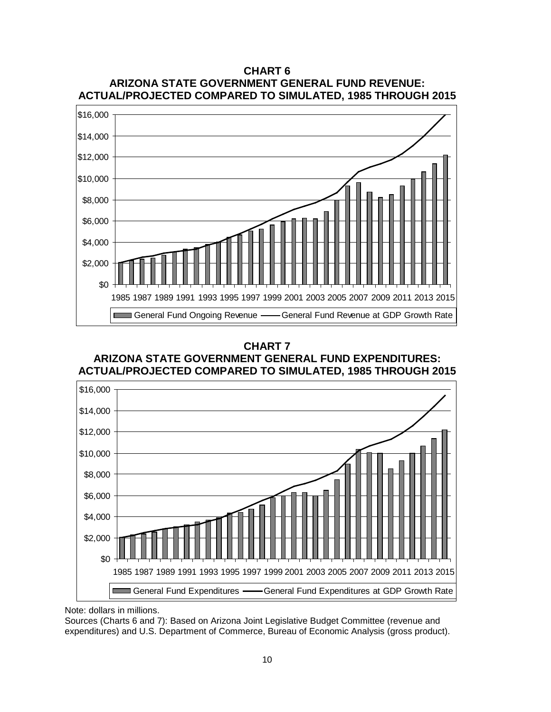

# **ARIZONA STATE GOVERNMENT GENERAL FUND REVENUE:**

**CHART 6**

**CHART 7**

**ARIZONA STATE GOVERNMENT GENERAL FUND EXPENDITURES: ACTUAL/PROJECTED COMPARED TO SIMULATED, 1985 THROUGH 2015**



Note: dollars in millions.

Sources (Charts 6 and 7): Based on Arizona Joint Legislative Budget Committee (revenue and expenditures) and U.S. Department of Commerce, Bureau of Economic Analysis (gross product).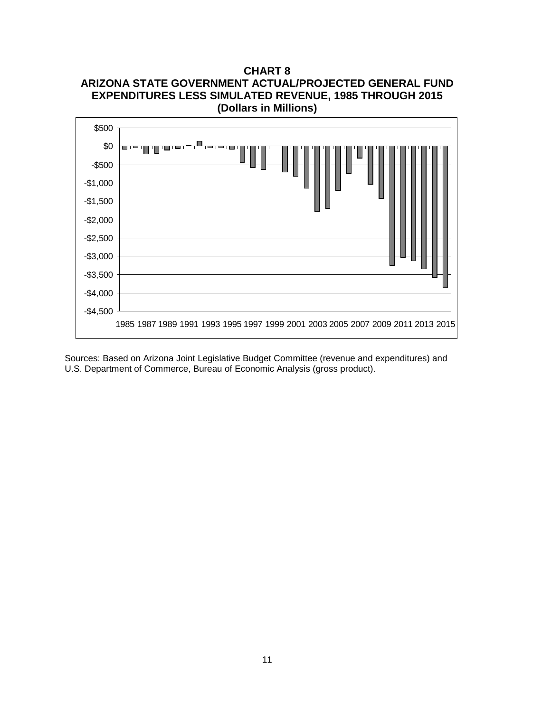**CHART 8 ARIZONA STATE GOVERNMENT ACTUAL/PROJECTED GENERAL FUND EXPENDITURES LESS SIMULATED REVENUE, 1985 THROUGH 2015 (Dollars in Millions)**



Sources: Based on Arizona Joint Legislative Budget Committee (revenue and expenditures) and U.S. Department of Commerce, Bureau of Economic Analysis (gross product).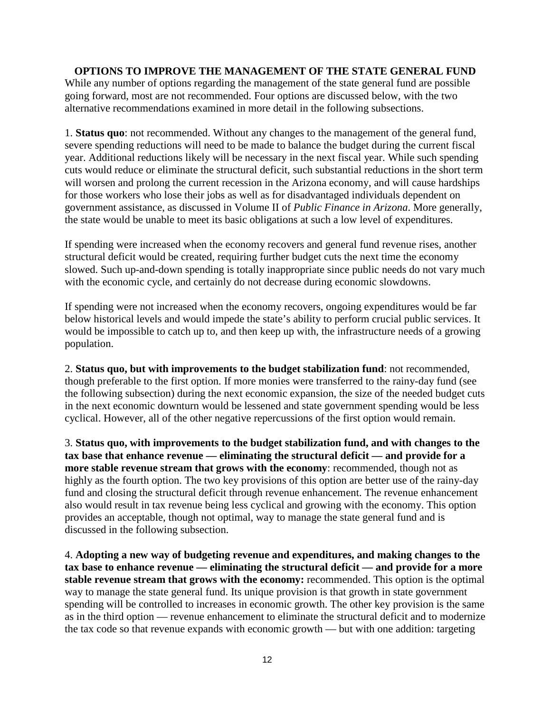## **OPTIONS TO IMPROVE THE MANAGEMENT OF THE STATE GENERAL FUND**

While any number of options regarding the management of the state general fund are possible going forward, most are not recommended. Four options are discussed below, with the two alternative recommendations examined in more detail in the following subsections.

1. **Status quo**: not recommended. Without any changes to the management of the general fund, severe spending reductions will need to be made to balance the budget during the current fiscal year. Additional reductions likely will be necessary in the next fiscal year. While such spending cuts would reduce or eliminate the structural deficit, such substantial reductions in the short term will worsen and prolong the current recession in the Arizona economy, and will cause hardships for those workers who lose their jobs as well as for disadvantaged individuals dependent on government assistance, as discussed in Volume II of *Public Finance in Arizona*. More generally, the state would be unable to meet its basic obligations at such a low level of expenditures.

If spending were increased when the economy recovers and general fund revenue rises, another structural deficit would be created, requiring further budget cuts the next time the economy slowed. Such up-and-down spending is totally inappropriate since public needs do not vary much with the economic cycle, and certainly do not decrease during economic slowdowns.

If spending were not increased when the economy recovers, ongoing expenditures would be far below historical levels and would impede the state's ability to perform crucial public services. It would be impossible to catch up to, and then keep up with, the infrastructure needs of a growing population.

2. **Status quo, but with improvements to the budget stabilization fund**: not recommended, though preferable to the first option. If more monies were transferred to the rainy-day fund (see the following subsection) during the next economic expansion, the size of the needed budget cuts in the next economic downturn would be lessened and state government spending would be less cyclical. However, all of the other negative repercussions of the first option would remain.

3. **Status quo, with improvements to the budget stabilization fund, and with changes to the tax base that enhance revenue — eliminating the structural deficit — and provide for a more stable revenue stream that grows with the economy**: recommended, though not as highly as the fourth option. The two key provisions of this option are better use of the rainy-day fund and closing the structural deficit through revenue enhancement. The revenue enhancement also would result in tax revenue being less cyclical and growing with the economy. This option provides an acceptable, though not optimal, way to manage the state general fund and is discussed in the following subsection.

4. **Adopting a new way of budgeting revenue and expenditures, and making changes to the tax base to enhance revenue — eliminating the structural deficit — and provide for a more stable revenue stream that grows with the economy:** recommended. This option is the optimal way to manage the state general fund. Its unique provision is that growth in state government spending will be controlled to increases in economic growth. The other key provision is the same as in the third option — revenue enhancement to eliminate the structural deficit and to modernize the tax code so that revenue expands with economic growth — but with one addition: targeting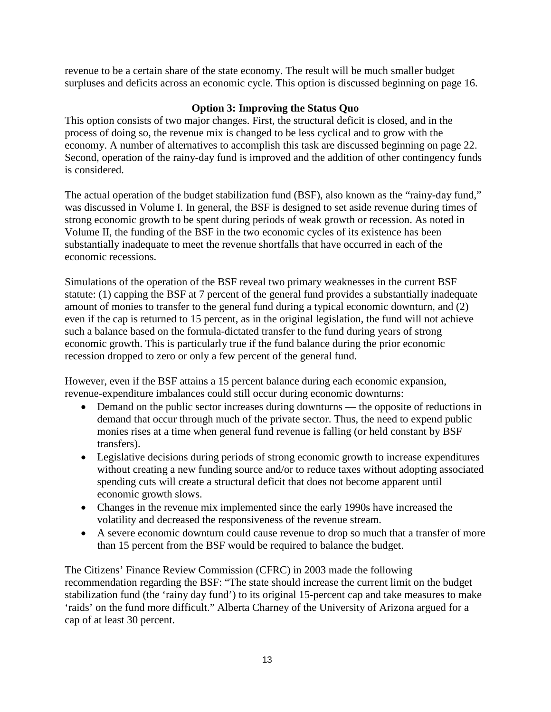revenue to be a certain share of the state economy. The result will be much smaller budget surpluses and deficits across an economic cycle. This option is discussed beginning on page 16.

## **Option 3: Improving the Status Quo**

This option consists of two major changes. First, the structural deficit is closed, and in the process of doing so, the revenue mix is changed to be less cyclical and to grow with the economy. A number of alternatives to accomplish this task are discussed beginning on page 22. Second, operation of the rainy-day fund is improved and the addition of other contingency funds is considered.

The actual operation of the budget stabilization fund (BSF), also known as the "rainy-day fund," was discussed in Volume I. In general, the BSF is designed to set aside revenue during times of strong economic growth to be spent during periods of weak growth or recession. As noted in Volume II, the funding of the BSF in the two economic cycles of its existence has been substantially inadequate to meet the revenue shortfalls that have occurred in each of the economic recessions.

Simulations of the operation of the BSF reveal two primary weaknesses in the current BSF statute: (1) capping the BSF at 7 percent of the general fund provides a substantially inadequate amount of monies to transfer to the general fund during a typical economic downturn, and (2) even if the cap is returned to 15 percent, as in the original legislation, the fund will not achieve such a balance based on the formula-dictated transfer to the fund during years of strong economic growth. This is particularly true if the fund balance during the prior economic recession dropped to zero or only a few percent of the general fund.

However, even if the BSF attains a 15 percent balance during each economic expansion, revenue-expenditure imbalances could still occur during economic downturns:

- Demand on the public sector increases during downturns the opposite of reductions in demand that occur through much of the private sector. Thus, the need to expend public monies rises at a time when general fund revenue is falling (or held constant by BSF transfers).
- Legislative decisions during periods of strong economic growth to increase expenditures without creating a new funding source and/or to reduce taxes without adopting associated spending cuts will create a structural deficit that does not become apparent until economic growth slows.
- Changes in the revenue mix implemented since the early 1990s have increased the volatility and decreased the responsiveness of the revenue stream.
- A severe economic downturn could cause revenue to drop so much that a transfer of more than 15 percent from the BSF would be required to balance the budget.

The Citizens' Finance Review Commission (CFRC) in 2003 made the following recommendation regarding the BSF: "The state should increase the current limit on the budget stabilization fund (the 'rainy day fund') to its original 15-percent cap and take measures to make 'raids' on the fund more difficult." Alberta Charney of the University of Arizona argued for a cap of at least 30 percent.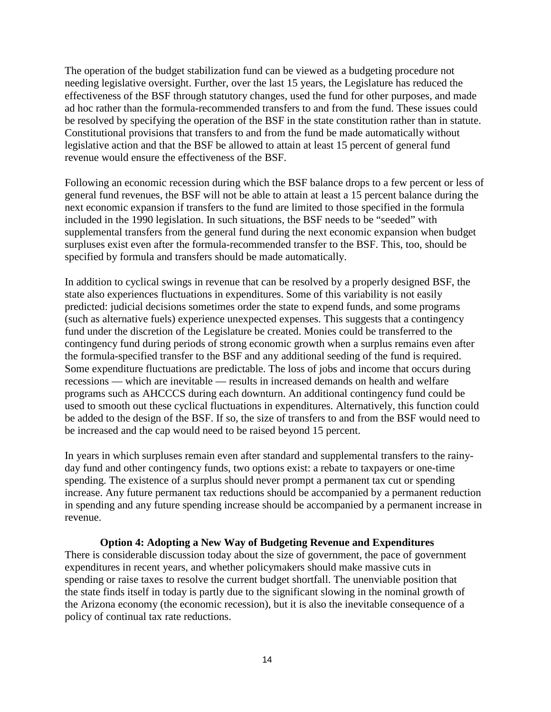The operation of the budget stabilization fund can be viewed as a budgeting procedure not needing legislative oversight. Further, over the last 15 years, the Legislature has reduced the effectiveness of the BSF through statutory changes, used the fund for other purposes, and made ad hoc rather than the formula-recommended transfers to and from the fund. These issues could be resolved by specifying the operation of the BSF in the state constitution rather than in statute. Constitutional provisions that transfers to and from the fund be made automatically without legislative action and that the BSF be allowed to attain at least 15 percent of general fund revenue would ensure the effectiveness of the BSF.

Following an economic recession during which the BSF balance drops to a few percent or less of general fund revenues, the BSF will not be able to attain at least a 15 percent balance during the next economic expansion if transfers to the fund are limited to those specified in the formula included in the 1990 legislation. In such situations, the BSF needs to be "seeded" with supplemental transfers from the general fund during the next economic expansion when budget surpluses exist even after the formula-recommended transfer to the BSF. This, too, should be specified by formula and transfers should be made automatically.

In addition to cyclical swings in revenue that can be resolved by a properly designed BSF, the state also experiences fluctuations in expenditures. Some of this variability is not easily predicted: judicial decisions sometimes order the state to expend funds, and some programs (such as alternative fuels) experience unexpected expenses. This suggests that a contingency fund under the discretion of the Legislature be created. Monies could be transferred to the contingency fund during periods of strong economic growth when a surplus remains even after the formula-specified transfer to the BSF and any additional seeding of the fund is required. Some expenditure fluctuations are predictable. The loss of jobs and income that occurs during recessions — which are inevitable — results in increased demands on health and welfare programs such as AHCCCS during each downturn. An additional contingency fund could be used to smooth out these cyclical fluctuations in expenditures. Alternatively, this function could be added to the design of the BSF. If so, the size of transfers to and from the BSF would need to be increased and the cap would need to be raised beyond 15 percent.

In years in which surpluses remain even after standard and supplemental transfers to the rainyday fund and other contingency funds, two options exist: a rebate to taxpayers or one-time spending. The existence of a surplus should never prompt a permanent tax cut or spending increase. Any future permanent tax reductions should be accompanied by a permanent reduction in spending and any future spending increase should be accompanied by a permanent increase in revenue.

#### **Option 4: Adopting a New Way of Budgeting Revenue and Expenditures**

There is considerable discussion today about the size of government, the pace of government expenditures in recent years, and whether policymakers should make massive cuts in spending or raise taxes to resolve the current budget shortfall. The unenviable position that the state finds itself in today is partly due to the significant slowing in the nominal growth of the Arizona economy (the economic recession), but it is also the inevitable consequence of a policy of continual tax rate reductions.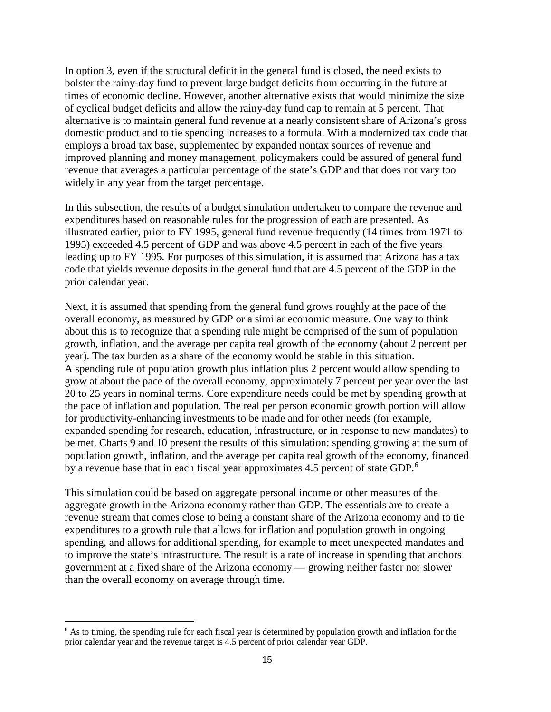In option 3, even if the structural deficit in the general fund is closed, the need exists to bolster the rainy-day fund to prevent large budget deficits from occurring in the future at times of economic decline. However, another alternative exists that would minimize the size of cyclical budget deficits and allow the rainy-day fund cap to remain at 5 percent. That alternative is to maintain general fund revenue at a nearly consistent share of Arizona's gross domestic product and to tie spending increases to a formula. With a modernized tax code that employs a broad tax base, supplemented by expanded nontax sources of revenue and improved planning and money management, policymakers could be assured of general fund revenue that averages a particular percentage of the state's GDP and that does not vary too widely in any year from the target percentage.

In this subsection, the results of a budget simulation undertaken to compare the revenue and expenditures based on reasonable rules for the progression of each are presented. As illustrated earlier, prior to FY 1995, general fund revenue frequently (14 times from 1971 to 1995) exceeded 4.5 percent of GDP and was above 4.5 percent in each of the five years leading up to FY 1995. For purposes of this simulation, it is assumed that Arizona has a tax code that yields revenue deposits in the general fund that are 4.5 percent of the GDP in the prior calendar year.

Next, it is assumed that spending from the general fund grows roughly at the pace of the overall economy, as measured by GDP or a similar economic measure. One way to think about this is to recognize that a spending rule might be comprised of the sum of population growth, inflation, and the average per capita real growth of the economy (about 2 percent per year). The tax burden as a share of the economy would be stable in this situation. A spending rule of population growth plus inflation plus 2 percent would allow spending to grow at about the pace of the overall economy, approximately 7 percent per year over the last 20 to 25 years in nominal terms. Core expenditure needs could be met by spending growth at the pace of inflation and population. The real per person economic growth portion will allow for productivity-enhancing investments to be made and for other needs (for example, expanded spending for research, education, infrastructure, or in response to new mandates) to be met. Charts 9 and 10 present the results of this simulation: spending growing at the sum of population growth, inflation, and the average per capita real growth of the economy, financed by a revenue base that in each fiscal year approximates 4.5 percent of state GDP.<sup>[6](#page-18-0)</sup>

This simulation could be based on aggregate personal income or other measures of the aggregate growth in the Arizona economy rather than GDP. The essentials are to create a revenue stream that comes close to being a constant share of the Arizona economy and to tie expenditures to a growth rule that allows for inflation and population growth in ongoing spending, and allows for additional spending, for example to meet unexpected mandates and to improve the state's infrastructure. The result is a rate of increase in spending that anchors government at a fixed share of the Arizona economy — growing neither faster nor slower than the overall economy on average through time.

 $\overline{a}$ 

<span id="page-18-0"></span> $6$  As to timing, the spending rule for each fiscal year is determined by population growth and inflation for the prior calendar year and the revenue target is 4.5 percent of prior calendar year GDP.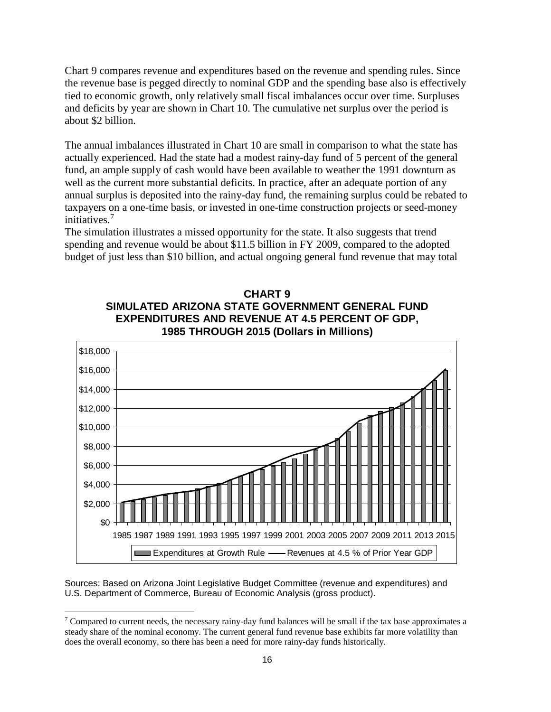Chart 9 compares revenue and expenditures based on the revenue and spending rules. Since the revenue base is pegged directly to nominal GDP and the spending base also is effectively tied to economic growth, only relatively small fiscal imbalances occur over time. Surpluses and deficits by year are shown in Chart 10. The cumulative net surplus over the period is about \$2 billion.

The annual imbalances illustrated in Chart 10 are small in comparison to what the state has actually experienced. Had the state had a modest rainy-day fund of 5 percent of the general fund, an ample supply of cash would have been available to weather the 1991 downturn as well as the current more substantial deficits. In practice, after an adequate portion of any annual surplus is deposited into the rainy-day fund, the remaining surplus could be rebated to taxpayers on a one-time basis, or invested in one-time construction projects or seed-money initiatives.[7](#page-19-0)

The simulation illustrates a missed opportunity for the state. It also suggests that trend spending and revenue would be about \$11.5 billion in FY 2009, compared to the adopted budget of just less than \$10 billion, and actual ongoing general fund revenue that may total



**CHART 9 SIMULATED ARIZONA STATE GOVERNMENT GENERAL FUND EXPENDITURES AND REVENUE AT 4.5 PERCENT OF GDP, 1985 THROUGH 2015 (Dollars in Millions)**

Sources: Based on Arizona Joint Legislative Budget Committee (revenue and expenditures) and U.S. Department of Commerce, Bureau of Economic Analysis (gross product).

<span id="page-19-0"></span><sup>&</sup>lt;sup>7</sup> Compared to current needs, the necessary rainy-day fund balances will be small if the tax base approximates a steady share of the nominal economy. The current general fund revenue base exhibits far more volatility than does the overall economy, so there has been a need for more rainy-day funds historically.  $\overline{a}$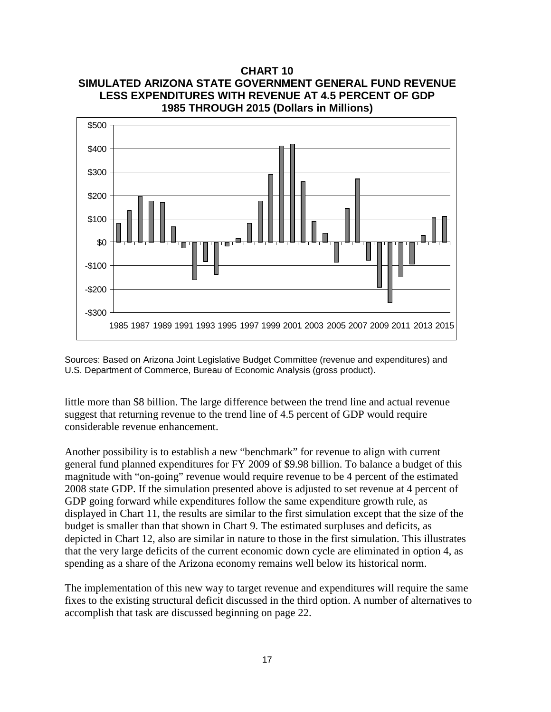

**CHART 10**

Sources: Based on Arizona Joint Legislative Budget Committee (revenue and expenditures) and U.S. Department of Commerce, Bureau of Economic Analysis (gross product).

little more than \$8 billion. The large difference between the trend line and actual revenue suggest that returning revenue to the trend line of 4.5 percent of GDP would require considerable revenue enhancement.

Another possibility is to establish a new "benchmark" for revenue to align with current general fund planned expenditures for FY 2009 of \$9.98 billion. To balance a budget of this magnitude with "on-going" revenue would require revenue to be 4 percent of the estimated 2008 state GDP. If the simulation presented above is adjusted to set revenue at 4 percent of GDP going forward while expenditures follow the same expenditure growth rule, as displayed in Chart 11, the results are similar to the first simulation except that the size of the budget is smaller than that shown in Chart 9. The estimated surpluses and deficits, as depicted in Chart 12, also are similar in nature to those in the first simulation. This illustrates that the very large deficits of the current economic down cycle are eliminated in option 4, as spending as a share of the Arizona economy remains well below its historical norm.

The implementation of this new way to target revenue and expenditures will require the same fixes to the existing structural deficit discussed in the third option. A number of alternatives to accomplish that task are discussed beginning on page 22.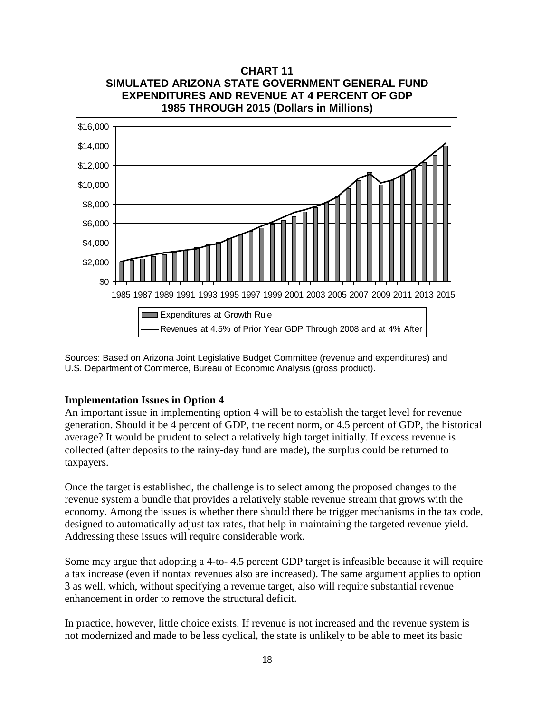

Sources: Based on Arizona Joint Legislative Budget Committee (revenue and expenditures) and U.S. Department of Commerce, Bureau of Economic Analysis (gross product).

## **Implementation Issues in Option 4**

An important issue in implementing option 4 will be to establish the target level for revenue generation. Should it be 4 percent of GDP, the recent norm, or 4.5 percent of GDP, the historical average? It would be prudent to select a relatively high target initially. If excess revenue is collected (after deposits to the rainy-day fund are made), the surplus could be returned to taxpayers.

Once the target is established, the challenge is to select among the proposed changes to the revenue system a bundle that provides a relatively stable revenue stream that grows with the economy. Among the issues is whether there should there be trigger mechanisms in the tax code, designed to automatically adjust tax rates, that help in maintaining the targeted revenue yield. Addressing these issues will require considerable work.

Some may argue that adopting a 4-to- 4.5 percent GDP target is infeasible because it will require a tax increase (even if nontax revenues also are increased). The same argument applies to option 3 as well, which, without specifying a revenue target, also will require substantial revenue enhancement in order to remove the structural deficit.

In practice, however, little choice exists. If revenue is not increased and the revenue system is not modernized and made to be less cyclical, the state is unlikely to be able to meet its basic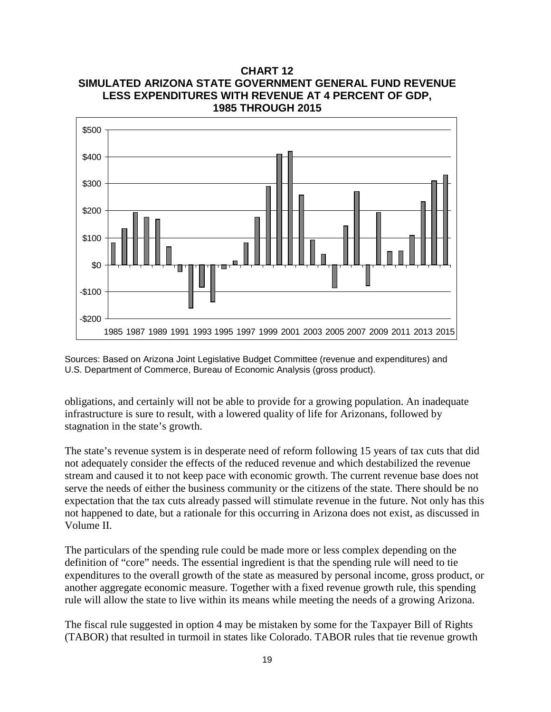

Sources: Based on Arizona Joint Legislative Budget Committee (revenue and expenditures) and U.S. Department of Commerce, Bureau of Economic Analysis (gross product).

obligations, and certainly will not be able to provide for a growing population. An inadequate infrastructure is sure to result, with a lowered quality of life for Arizonans, followed by stagnation in the state's growth.

The state's revenue system is in desperate need of reform following 15 years of tax cuts that did not adequately consider the effects of the reduced revenue and which destabilized the revenue stream and caused it to not keep pace with economic growth. The current revenue base does not serve the needs of either the business community or the citizens of the state. There should be no expectation that the tax cuts already passed will stimulate revenue in the future. Not only has this not happened to date, but a rationale for this occurring in Arizona does not exist, as discussed in Volume II.

The particulars of the spending rule could be made more or less complex depending on the definition of "core" needs. The essential ingredient is that the spending rule will need to tie expenditures to the overall growth of the state as measured by personal income, gross product, or another aggregate economic measure. Together with a fixed revenue growth rule, this spending rule will allow the state to live within its means while meeting the needs of a growing Arizona.

The fiscal rule suggested in option 4 may be mistaken by some for the Taxpayer Bill of Rights (TABOR) that resulted in turmoil in states like Colorado. TABOR rules that tie revenue growth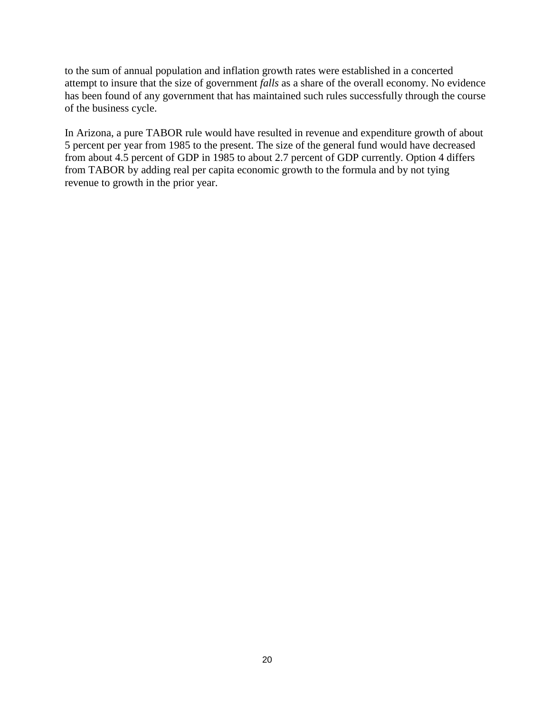to the sum of annual population and inflation growth rates were established in a concerted attempt to insure that the size of government *falls* as a share of the overall economy. No evidence has been found of any government that has maintained such rules successfully through the course of the business cycle.

In Arizona, a pure TABOR rule would have resulted in revenue and expenditure growth of about 5 percent per year from 1985 to the present. The size of the general fund would have decreased from about 4.5 percent of GDP in 1985 to about 2.7 percent of GDP currently. Option 4 differs from TABOR by adding real per capita economic growth to the formula and by not tying revenue to growth in the prior year.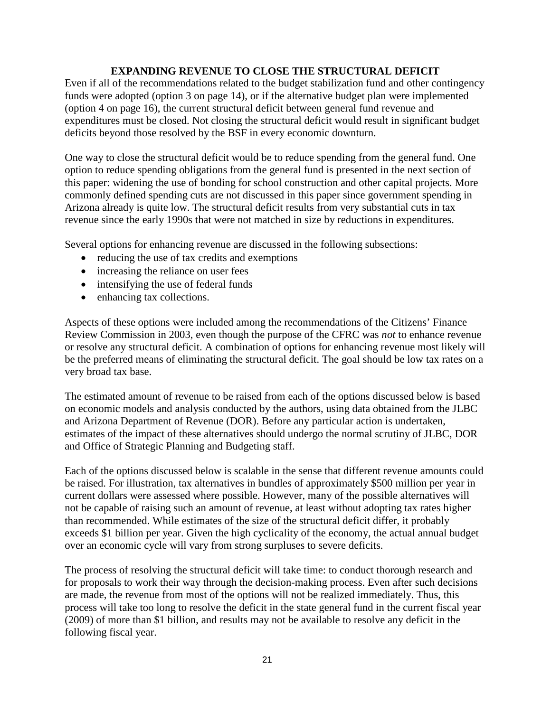## **EXPANDING REVENUE TO CLOSE THE STRUCTURAL DEFICIT**

Even if all of the recommendations related to the budget stabilization fund and other contingency funds were adopted (option 3 on page 14), or if the alternative budget plan were implemented (option 4 on page 16), the current structural deficit between general fund revenue and expenditures must be closed. Not closing the structural deficit would result in significant budget deficits beyond those resolved by the BSF in every economic downturn.

One way to close the structural deficit would be to reduce spending from the general fund. One option to reduce spending obligations from the general fund is presented in the next section of this paper: widening the use of bonding for school construction and other capital projects. More commonly defined spending cuts are not discussed in this paper since government spending in Arizona already is quite low. The structural deficit results from very substantial cuts in tax revenue since the early 1990s that were not matched in size by reductions in expenditures.

Several options for enhancing revenue are discussed in the following subsections:

- reducing the use of tax credits and exemptions
- increasing the reliance on user fees
- intensifying the use of federal funds
- enhancing tax collections.

Aspects of these options were included among the recommendations of the Citizens' Finance Review Commission in 2003, even though the purpose of the CFRC was *not* to enhance revenue or resolve any structural deficit. A combination of options for enhancing revenue most likely will be the preferred means of eliminating the structural deficit. The goal should be low tax rates on a very broad tax base.

The estimated amount of revenue to be raised from each of the options discussed below is based on economic models and analysis conducted by the authors, using data obtained from the JLBC and Arizona Department of Revenue (DOR). Before any particular action is undertaken, estimates of the impact of these alternatives should undergo the normal scrutiny of JLBC, DOR and Office of Strategic Planning and Budgeting staff.

Each of the options discussed below is scalable in the sense that different revenue amounts could be raised. For illustration, tax alternatives in bundles of approximately \$500 million per year in current dollars were assessed where possible. However, many of the possible alternatives will not be capable of raising such an amount of revenue, at least without adopting tax rates higher than recommended. While estimates of the size of the structural deficit differ, it probably exceeds \$1 billion per year. Given the high cyclicality of the economy, the actual annual budget over an economic cycle will vary from strong surpluses to severe deficits.

The process of resolving the structural deficit will take time: to conduct thorough research and for proposals to work their way through the decision-making process. Even after such decisions are made, the revenue from most of the options will not be realized immediately. Thus, this process will take too long to resolve the deficit in the state general fund in the current fiscal year (2009) of more than \$1 billion, and results may not be available to resolve any deficit in the following fiscal year.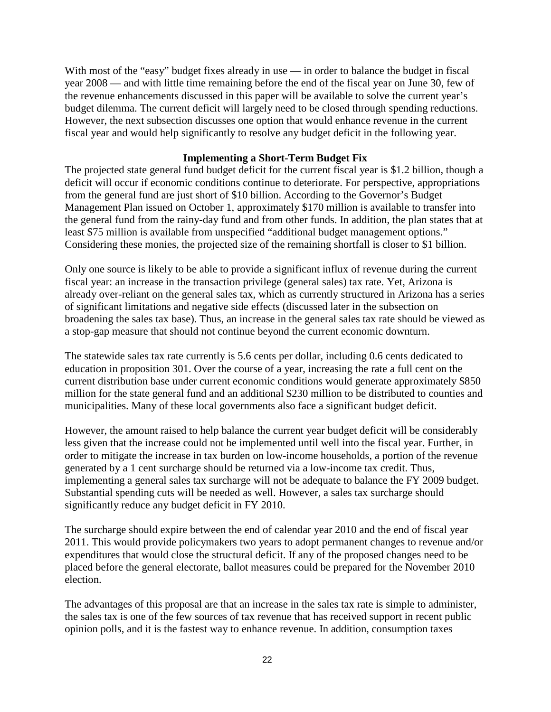With most of the "easy" budget fixes already in use — in order to balance the budget in fiscal year 2008 — and with little time remaining before the end of the fiscal year on June 30, few of the revenue enhancements discussed in this paper will be available to solve the current year's budget dilemma. The current deficit will largely need to be closed through spending reductions. However, the next subsection discusses one option that would enhance revenue in the current fiscal year and would help significantly to resolve any budget deficit in the following year.

## **Implementing a Short-Term Budget Fix**

The projected state general fund budget deficit for the current fiscal year is \$1.2 billion, though a deficit will occur if economic conditions continue to deteriorate. For perspective, appropriations from the general fund are just short of \$10 billion. According to the Governor's Budget Management Plan issued on October 1, approximately \$170 million is available to transfer into the general fund from the rainy-day fund and from other funds. In addition, the plan states that at least \$75 million is available from unspecified "additional budget management options." Considering these monies, the projected size of the remaining shortfall is closer to \$1 billion.

Only one source is likely to be able to provide a significant influx of revenue during the current fiscal year: an increase in the transaction privilege (general sales) tax rate. Yet, Arizona is already over-reliant on the general sales tax, which as currently structured in Arizona has a series of significant limitations and negative side effects (discussed later in the subsection on broadening the sales tax base). Thus, an increase in the general sales tax rate should be viewed as a stop-gap measure that should not continue beyond the current economic downturn.

The statewide sales tax rate currently is 5.6 cents per dollar, including 0.6 cents dedicated to education in proposition 301. Over the course of a year, increasing the rate a full cent on the current distribution base under current economic conditions would generate approximately \$850 million for the state general fund and an additional \$230 million to be distributed to counties and municipalities. Many of these local governments also face a significant budget deficit.

However, the amount raised to help balance the current year budget deficit will be considerably less given that the increase could not be implemented until well into the fiscal year. Further, in order to mitigate the increase in tax burden on low-income households, a portion of the revenue generated by a 1 cent surcharge should be returned via a low-income tax credit. Thus, implementing a general sales tax surcharge will not be adequate to balance the FY 2009 budget. Substantial spending cuts will be needed as well. However, a sales tax surcharge should significantly reduce any budget deficit in FY 2010.

The surcharge should expire between the end of calendar year 2010 and the end of fiscal year 2011. This would provide policymakers two years to adopt permanent changes to revenue and/or expenditures that would close the structural deficit. If any of the proposed changes need to be placed before the general electorate, ballot measures could be prepared for the November 2010 election.

The advantages of this proposal are that an increase in the sales tax rate is simple to administer, the sales tax is one of the few sources of tax revenue that has received support in recent public opinion polls, and it is the fastest way to enhance revenue. In addition, consumption taxes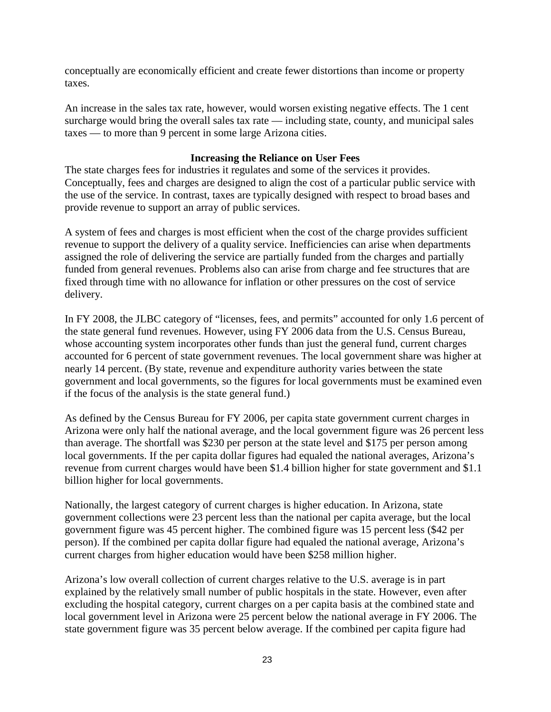conceptually are economically efficient and create fewer distortions than income or property taxes.

An increase in the sales tax rate, however, would worsen existing negative effects. The 1 cent surcharge would bring the overall sales tax rate — including state, county, and municipal sales taxes — to more than 9 percent in some large Arizona cities.

## **Increasing the Reliance on User Fees**

The state charges fees for industries it regulates and some of the services it provides. Conceptually, fees and charges are designed to align the cost of a particular public service with the use of the service. In contrast, taxes are typically designed with respect to broad bases and provide revenue to support an array of public services.

A system of fees and charges is most efficient when the cost of the charge provides sufficient revenue to support the delivery of a quality service. Inefficiencies can arise when departments assigned the role of delivering the service are partially funded from the charges and partially funded from general revenues. Problems also can arise from charge and fee structures that are fixed through time with no allowance for inflation or other pressures on the cost of service delivery.

In FY 2008, the JLBC category of "licenses, fees, and permits" accounted for only 1.6 percent of the state general fund revenues. However, using FY 2006 data from the U.S. Census Bureau, whose accounting system incorporates other funds than just the general fund, current charges accounted for 6 percent of state government revenues. The local government share was higher at nearly 14 percent. (By state, revenue and expenditure authority varies between the state government and local governments, so the figures for local governments must be examined even if the focus of the analysis is the state general fund.)

As defined by the Census Bureau for FY 2006, per capita state government current charges in Arizona were only half the national average, and the local government figure was 26 percent less than average. The shortfall was \$230 per person at the state level and \$175 per person among local governments. If the per capita dollar figures had equaled the national averages, Arizona's revenue from current charges would have been \$1.4 billion higher for state government and \$1.1 billion higher for local governments.

Nationally, the largest category of current charges is higher education. In Arizona, state government collections were 23 percent less than the national per capita average, but the local government figure was 45 percent higher. The combined figure was 15 percent less (\$42 per person). If the combined per capita dollar figure had equaled the national average, Arizona's current charges from higher education would have been \$258 million higher.

Arizona's low overall collection of current charges relative to the U.S. average is in part explained by the relatively small number of public hospitals in the state. However, even after excluding the hospital category, current charges on a per capita basis at the combined state and local government level in Arizona were 25 percent below the national average in FY 2006. The state government figure was 35 percent below average. If the combined per capita figure had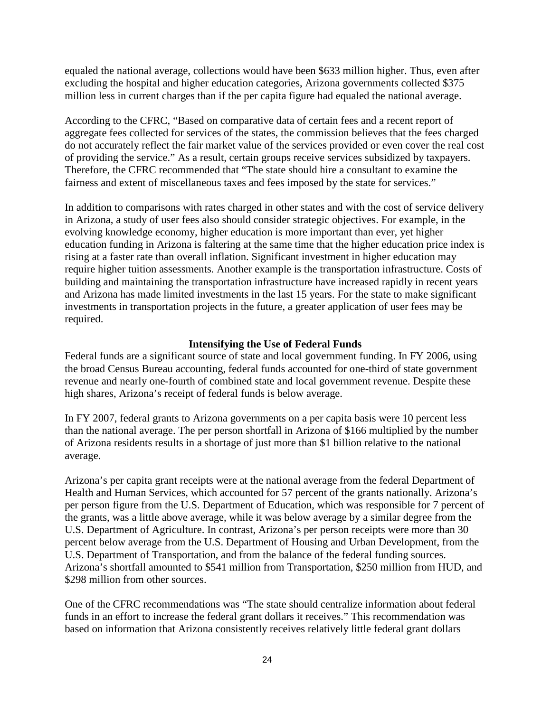equaled the national average, collections would have been \$633 million higher. Thus, even after excluding the hospital and higher education categories, Arizona governments collected \$375 million less in current charges than if the per capita figure had equaled the national average.

According to the CFRC, "Based on comparative data of certain fees and a recent report of aggregate fees collected for services of the states, the commission believes that the fees charged do not accurately reflect the fair market value of the services provided or even cover the real cost of providing the service." As a result, certain groups receive services subsidized by taxpayers. Therefore, the CFRC recommended that "The state should hire a consultant to examine the fairness and extent of miscellaneous taxes and fees imposed by the state for services."

In addition to comparisons with rates charged in other states and with the cost of service delivery in Arizona, a study of user fees also should consider strategic objectives. For example, in the evolving knowledge economy, higher education is more important than ever, yet higher education funding in Arizona is faltering at the same time that the higher education price index is rising at a faster rate than overall inflation. Significant investment in higher education may require higher tuition assessments. Another example is the transportation infrastructure. Costs of building and maintaining the transportation infrastructure have increased rapidly in recent years and Arizona has made limited investments in the last 15 years. For the state to make significant investments in transportation projects in the future, a greater application of user fees may be required.

## **Intensifying the Use of Federal Funds**

Federal funds are a significant source of state and local government funding. In FY 2006, using the broad Census Bureau accounting, federal funds accounted for one-third of state government revenue and nearly one-fourth of combined state and local government revenue. Despite these high shares, Arizona's receipt of federal funds is below average.

In FY 2007, federal grants to Arizona governments on a per capita basis were 10 percent less than the national average. The per person shortfall in Arizona of \$166 multiplied by the number of Arizona residents results in a shortage of just more than \$1 billion relative to the national average.

Arizona's per capita grant receipts were at the national average from the federal Department of Health and Human Services, which accounted for 57 percent of the grants nationally. Arizona's per person figure from the U.S. Department of Education, which was responsible for 7 percent of the grants, was a little above average, while it was below average by a similar degree from the U.S. Department of Agriculture. In contrast, Arizona's per person receipts were more than 30 percent below average from the U.S. Department of Housing and Urban Development, from the U.S. Department of Transportation, and from the balance of the federal funding sources. Arizona's shortfall amounted to \$541 million from Transportation, \$250 million from HUD, and \$298 million from other sources.

One of the CFRC recommendations was "The state should centralize information about federal funds in an effort to increase the federal grant dollars it receives." This recommendation was based on information that Arizona consistently receives relatively little federal grant dollars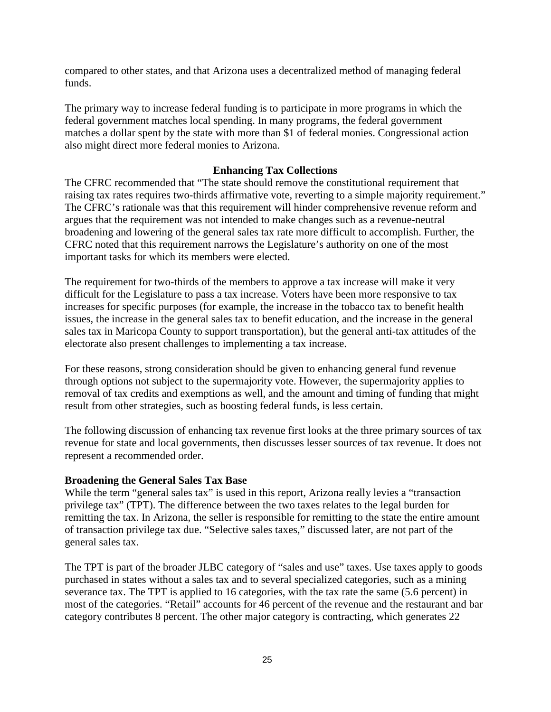compared to other states, and that Arizona uses a decentralized method of managing federal funds.

The primary way to increase federal funding is to participate in more programs in which the federal government matches local spending. In many programs, the federal government matches a dollar spent by the state with more than \$1 of federal monies. Congressional action also might direct more federal monies to Arizona.

## **Enhancing Tax Collections**

The CFRC recommended that "The state should remove the constitutional requirement that raising tax rates requires two-thirds affirmative vote, reverting to a simple majority requirement." The CFRC's rationale was that this requirement will hinder comprehensive revenue reform and argues that the requirement was not intended to make changes such as a revenue-neutral broadening and lowering of the general sales tax rate more difficult to accomplish. Further, the CFRC noted that this requirement narrows the Legislature's authority on one of the most important tasks for which its members were elected.

The requirement for two-thirds of the members to approve a tax increase will make it very difficult for the Legislature to pass a tax increase. Voters have been more responsive to tax increases for specific purposes (for example, the increase in the tobacco tax to benefit health issues, the increase in the general sales tax to benefit education, and the increase in the general sales tax in Maricopa County to support transportation), but the general anti-tax attitudes of the electorate also present challenges to implementing a tax increase.

For these reasons, strong consideration should be given to enhancing general fund revenue through options not subject to the supermajority vote. However, the supermajority applies to removal of tax credits and exemptions as well, and the amount and timing of funding that might result from other strategies, such as boosting federal funds, is less certain.

The following discussion of enhancing tax revenue first looks at the three primary sources of tax revenue for state and local governments, then discusses lesser sources of tax revenue. It does not represent a recommended order.

## **Broadening the General Sales Tax Base**

While the term "general sales tax" is used in this report, Arizona really levies a "transaction" privilege tax" (TPT). The difference between the two taxes relates to the legal burden for remitting the tax. In Arizona, the seller is responsible for remitting to the state the entire amount of transaction privilege tax due. "Selective sales taxes," discussed later, are not part of the general sales tax.

The TPT is part of the broader JLBC category of "sales and use" taxes. Use taxes apply to goods purchased in states without a sales tax and to several specialized categories, such as a mining severance tax. The TPT is applied to 16 categories, with the tax rate the same (5.6 percent) in most of the categories. "Retail" accounts for 46 percent of the revenue and the restaurant and bar category contributes 8 percent. The other major category is contracting, which generates 22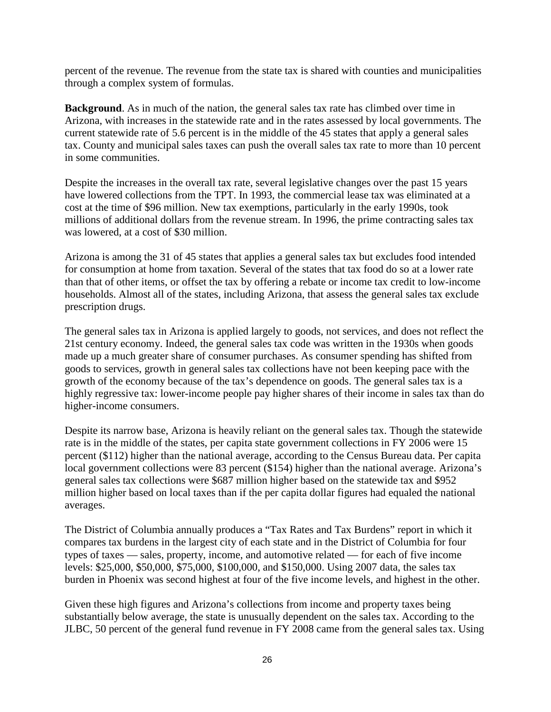percent of the revenue. The revenue from the state tax is shared with counties and municipalities through a complex system of formulas.

**Background**. As in much of the nation, the general sales tax rate has climbed over time in Arizona, with increases in the statewide rate and in the rates assessed by local governments. The current statewide rate of 5.6 percent is in the middle of the 45 states that apply a general sales tax. County and municipal sales taxes can push the overall sales tax rate to more than 10 percent in some communities.

Despite the increases in the overall tax rate, several legislative changes over the past 15 years have lowered collections from the TPT. In 1993, the commercial lease tax was eliminated at a cost at the time of \$96 million. New tax exemptions, particularly in the early 1990s, took millions of additional dollars from the revenue stream. In 1996, the prime contracting sales tax was lowered, at a cost of \$30 million.

Arizona is among the 31 of 45 states that applies a general sales tax but excludes food intended for consumption at home from taxation. Several of the states that tax food do so at a lower rate than that of other items, or offset the tax by offering a rebate or income tax credit to low-income households. Almost all of the states, including Arizona, that assess the general sales tax exclude prescription drugs.

The general sales tax in Arizona is applied largely to goods, not services, and does not reflect the 21st century economy. Indeed, the general sales tax code was written in the 1930s when goods made up a much greater share of consumer purchases. As consumer spending has shifted from goods to services, growth in general sales tax collections have not been keeping pace with the growth of the economy because of the tax's dependence on goods. The general sales tax is a highly regressive tax: lower-income people pay higher shares of their income in sales tax than do higher-income consumers.

Despite its narrow base, Arizona is heavily reliant on the general sales tax. Though the statewide rate is in the middle of the states, per capita state government collections in FY 2006 were 15 percent (\$112) higher than the national average, according to the Census Bureau data. Per capita local government collections were 83 percent (\$154) higher than the national average. Arizona's general sales tax collections were \$687 million higher based on the statewide tax and \$952 million higher based on local taxes than if the per capita dollar figures had equaled the national averages.

The District of Columbia annually produces a "Tax Rates and Tax Burdens" report in which it compares tax burdens in the largest city of each state and in the District of Columbia for four types of taxes — sales, property, income, and automotive related — for each of five income levels: \$25,000, \$50,000, \$75,000, \$100,000, and \$150,000. Using 2007 data, the sales tax burden in Phoenix was second highest at four of the five income levels, and highest in the other.

Given these high figures and Arizona's collections from income and property taxes being substantially below average, the state is unusually dependent on the sales tax. According to the JLBC, 50 percent of the general fund revenue in FY 2008 came from the general sales tax. Using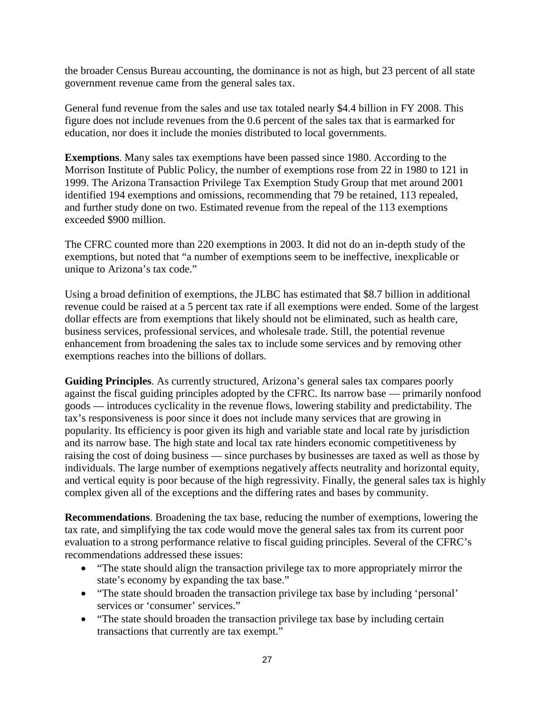the broader Census Bureau accounting, the dominance is not as high, but 23 percent of all state government revenue came from the general sales tax.

General fund revenue from the sales and use tax totaled nearly \$4.4 billion in FY 2008. This figure does not include revenues from the 0.6 percent of the sales tax that is earmarked for education, nor does it include the monies distributed to local governments.

**Exemptions**. Many sales tax exemptions have been passed since 1980. According to the Morrison Institute of Public Policy, the number of exemptions rose from 22 in 1980 to 121 in 1999. The Arizona Transaction Privilege Tax Exemption Study Group that met around 2001 identified 194 exemptions and omissions, recommending that 79 be retained, 113 repealed, and further study done on two. Estimated revenue from the repeal of the 113 exemptions exceeded \$900 million.

The CFRC counted more than 220 exemptions in 2003. It did not do an in-depth study of the exemptions, but noted that "a number of exemptions seem to be ineffective, inexplicable or unique to Arizona's tax code."

Using a broad definition of exemptions, the JLBC has estimated that \$8.7 billion in additional revenue could be raised at a 5 percent tax rate if all exemptions were ended. Some of the largest dollar effects are from exemptions that likely should not be eliminated, such as health care, business services, professional services, and wholesale trade. Still, the potential revenue enhancement from broadening the sales tax to include some services and by removing other exemptions reaches into the billions of dollars.

**Guiding Principles**. As currently structured, Arizona's general sales tax compares poorly against the fiscal guiding principles adopted by the CFRC. Its narrow base — primarily nonfood goods — introduces cyclicality in the revenue flows, lowering stability and predictability. The tax's responsiveness is poor since it does not include many services that are growing in popularity. Its efficiency is poor given its high and variable state and local rate by jurisdiction and its narrow base. The high state and local tax rate hinders economic competitiveness by raising the cost of doing business — since purchases by businesses are taxed as well as those by individuals. The large number of exemptions negatively affects neutrality and horizontal equity, and vertical equity is poor because of the high regressivity. Finally, the general sales tax is highly complex given all of the exceptions and the differing rates and bases by community.

**Recommendations**. Broadening the tax base, reducing the number of exemptions, lowering the tax rate, and simplifying the tax code would move the general sales tax from its current poor evaluation to a strong performance relative to fiscal guiding principles. Several of the CFRC's recommendations addressed these issues:

- "The state should align the transaction privilege tax to more appropriately mirror the state's economy by expanding the tax base."
- "The state should broaden the transaction privilege tax base by including 'personal' services or 'consumer' services."
- "The state should broaden the transaction privilege tax base by including certain transactions that currently are tax exempt."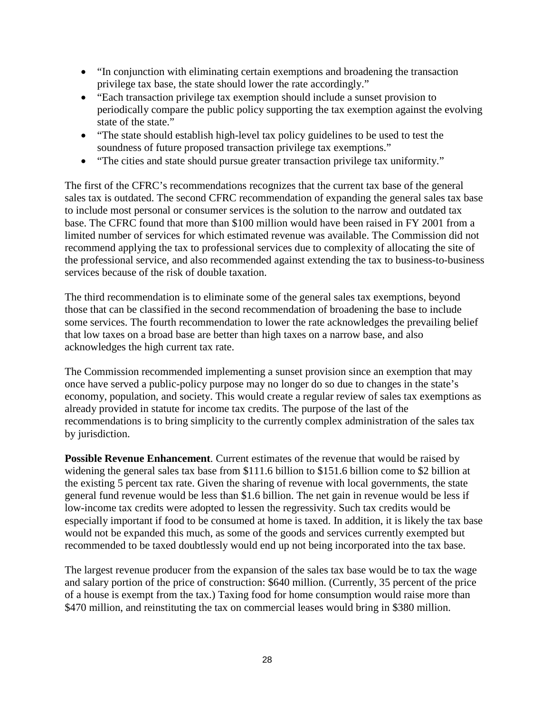- "In conjunction with eliminating certain exemptions and broadening the transaction privilege tax base, the state should lower the rate accordingly."
- "Each transaction privilege tax exemption should include a sunset provision to periodically compare the public policy supporting the tax exemption against the evolving state of the state."
- "The state should establish high-level tax policy guidelines to be used to test the soundness of future proposed transaction privilege tax exemptions."
- "The cities and state should pursue greater transaction privilege tax uniformity."

The first of the CFRC's recommendations recognizes that the current tax base of the general sales tax is outdated. The second CFRC recommendation of expanding the general sales tax base to include most personal or consumer services is the solution to the narrow and outdated tax base. The CFRC found that more than \$100 million would have been raised in FY 2001 from a limited number of services for which estimated revenue was available. The Commission did not recommend applying the tax to professional services due to complexity of allocating the site of the professional service, and also recommended against extending the tax to business-to-business services because of the risk of double taxation.

The third recommendation is to eliminate some of the general sales tax exemptions, beyond those that can be classified in the second recommendation of broadening the base to include some services. The fourth recommendation to lower the rate acknowledges the prevailing belief that low taxes on a broad base are better than high taxes on a narrow base, and also acknowledges the high current tax rate.

The Commission recommended implementing a sunset provision since an exemption that may once have served a public-policy purpose may no longer do so due to changes in the state's economy, population, and society. This would create a regular review of sales tax exemptions as already provided in statute for income tax credits. The purpose of the last of the recommendations is to bring simplicity to the currently complex administration of the sales tax by jurisdiction.

**Possible Revenue Enhancement.** Current estimates of the revenue that would be raised by widening the general sales tax base from \$111.6 billion to \$151.6 billion come to \$2 billion at the existing 5 percent tax rate. Given the sharing of revenue with local governments, the state general fund revenue would be less than \$1.6 billion. The net gain in revenue would be less if low-income tax credits were adopted to lessen the regressivity. Such tax credits would be especially important if food to be consumed at home is taxed. In addition, it is likely the tax base would not be expanded this much, as some of the goods and services currently exempted but recommended to be taxed doubtlessly would end up not being incorporated into the tax base.

The largest revenue producer from the expansion of the sales tax base would be to tax the wage and salary portion of the price of construction: \$640 million. (Currently, 35 percent of the price of a house is exempt from the tax.) Taxing food for home consumption would raise more than \$470 million, and reinstituting the tax on commercial leases would bring in \$380 million.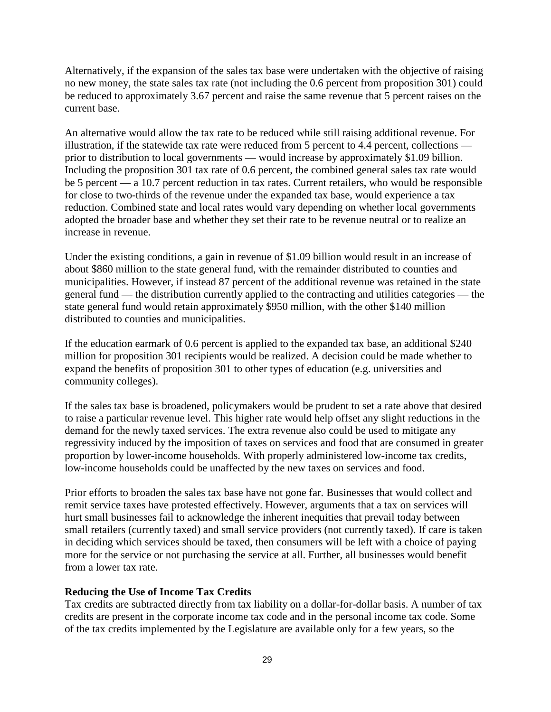Alternatively, if the expansion of the sales tax base were undertaken with the objective of raising no new money, the state sales tax rate (not including the 0.6 percent from proposition 301) could be reduced to approximately 3.67 percent and raise the same revenue that 5 percent raises on the current base.

An alternative would allow the tax rate to be reduced while still raising additional revenue. For illustration, if the statewide tax rate were reduced from 5 percent to 4.4 percent, collections prior to distribution to local governments — would increase by approximately \$1.09 billion. Including the proposition 301 tax rate of 0.6 percent, the combined general sales tax rate would be 5 percent — a 10.7 percent reduction in tax rates. Current retailers, who would be responsible for close to two-thirds of the revenue under the expanded tax base, would experience a tax reduction. Combined state and local rates would vary depending on whether local governments adopted the broader base and whether they set their rate to be revenue neutral or to realize an increase in revenue.

Under the existing conditions, a gain in revenue of \$1.09 billion would result in an increase of about \$860 million to the state general fund, with the remainder distributed to counties and municipalities. However, if instead 87 percent of the additional revenue was retained in the state general fund — the distribution currently applied to the contracting and utilities categories — the state general fund would retain approximately \$950 million, with the other \$140 million distributed to counties and municipalities.

If the education earmark of 0.6 percent is applied to the expanded tax base, an additional \$240 million for proposition 301 recipients would be realized. A decision could be made whether to expand the benefits of proposition 301 to other types of education (e.g. universities and community colleges).

If the sales tax base is broadened, policymakers would be prudent to set a rate above that desired to raise a particular revenue level. This higher rate would help offset any slight reductions in the demand for the newly taxed services. The extra revenue also could be used to mitigate any regressivity induced by the imposition of taxes on services and food that are consumed in greater proportion by lower-income households. With properly administered low-income tax credits, low-income households could be unaffected by the new taxes on services and food.

Prior efforts to broaden the sales tax base have not gone far. Businesses that would collect and remit service taxes have protested effectively. However, arguments that a tax on services will hurt small businesses fail to acknowledge the inherent inequities that prevail today between small retailers (currently taxed) and small service providers (not currently taxed). If care is taken in deciding which services should be taxed, then consumers will be left with a choice of paying more for the service or not purchasing the service at all. Further, all businesses would benefit from a lower tax rate.

## **Reducing the Use of Income Tax Credits**

Tax credits are subtracted directly from tax liability on a dollar-for-dollar basis. A number of tax credits are present in the corporate income tax code and in the personal income tax code. Some of the tax credits implemented by the Legislature are available only for a few years, so the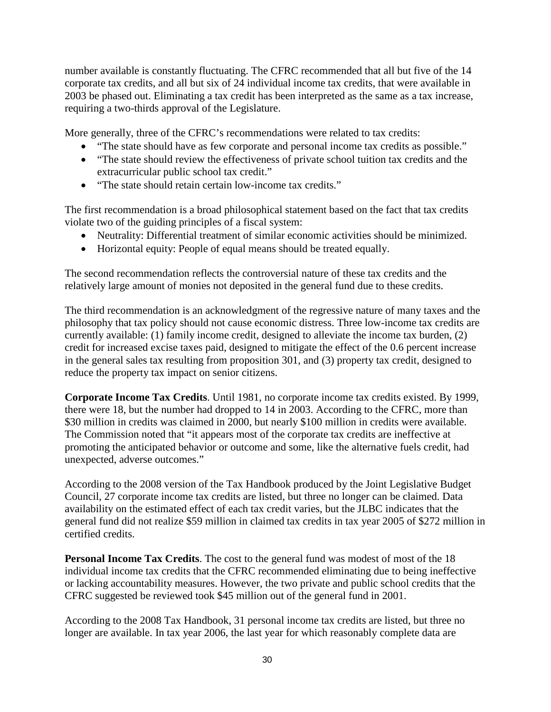number available is constantly fluctuating. The CFRC recommended that all but five of the 14 corporate tax credits, and all but six of 24 individual income tax credits, that were available in 2003 be phased out. Eliminating a tax credit has been interpreted as the same as a tax increase, requiring a two-thirds approval of the Legislature.

More generally, three of the CFRC's recommendations were related to tax credits:

- "The state should have as few corporate and personal income tax credits as possible."
- "The state should review the effectiveness of private school tuition tax credits and the extracurricular public school tax credit."
- "The state should retain certain low-income tax credits."

The first recommendation is a broad philosophical statement based on the fact that tax credits violate two of the guiding principles of a fiscal system:

- Neutrality: Differential treatment of similar economic activities should be minimized.
- Horizontal equity: People of equal means should be treated equally.

The second recommendation reflects the controversial nature of these tax credits and the relatively large amount of monies not deposited in the general fund due to these credits.

The third recommendation is an acknowledgment of the regressive nature of many taxes and the philosophy that tax policy should not cause economic distress. Three low-income tax credits are currently available: (1) family income credit, designed to alleviate the income tax burden, (2) credit for increased excise taxes paid, designed to mitigate the effect of the 0.6 percent increase in the general sales tax resulting from proposition 301, and (3) property tax credit, designed to reduce the property tax impact on senior citizens.

**Corporate Income Tax Credits**. Until 1981, no corporate income tax credits existed. By 1999, there were 18, but the number had dropped to 14 in 2003. According to the CFRC, more than \$30 million in credits was claimed in 2000, but nearly \$100 million in credits were available. The Commission noted that "it appears most of the corporate tax credits are ineffective at promoting the anticipated behavior or outcome and some, like the alternative fuels credit, had unexpected, adverse outcomes."

According to the 2008 version of the Tax Handbook produced by the Joint Legislative Budget Council, 27 corporate income tax credits are listed, but three no longer can be claimed. Data availability on the estimated effect of each tax credit varies, but the JLBC indicates that the general fund did not realize \$59 million in claimed tax credits in tax year 2005 of \$272 million in certified credits.

**Personal Income Tax Credits**. The cost to the general fund was modest of most of the 18 individual income tax credits that the CFRC recommended eliminating due to being ineffective or lacking accountability measures. However, the two private and public school credits that the CFRC suggested be reviewed took \$45 million out of the general fund in 2001.

According to the 2008 Tax Handbook, 31 personal income tax credits are listed, but three no longer are available. In tax year 2006, the last year for which reasonably complete data are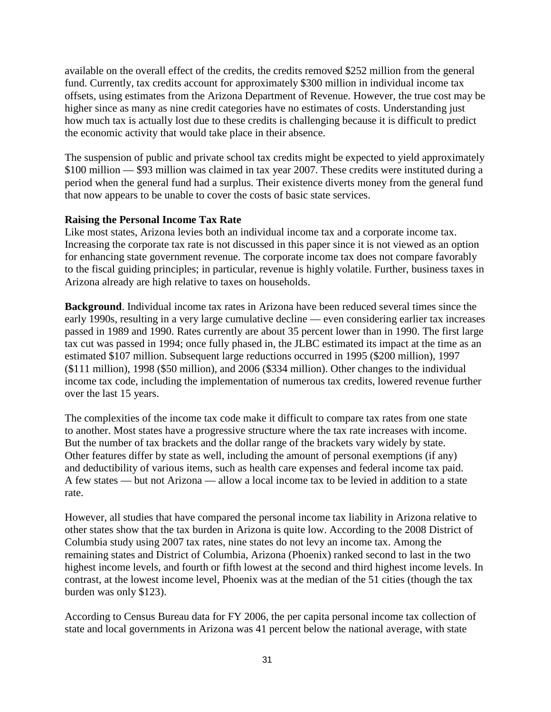available on the overall effect of the credits, the credits removed \$252 million from the general fund. Currently, tax credits account for approximately \$300 million in individual income tax offsets, using estimates from the Arizona Department of Revenue. However, the true cost may be higher since as many as nine credit categories have no estimates of costs. Understanding just how much tax is actually lost due to these credits is challenging because it is difficult to predict the economic activity that would take place in their absence.

The suspension of public and private school tax credits might be expected to yield approximately \$100 million — \$93 million was claimed in tax year 2007. These credits were instituted during a period when the general fund had a surplus. Their existence diverts money from the general fund that now appears to be unable to cover the costs of basic state services.

## **Raising the Personal Income Tax Rate**

Like most states, Arizona levies both an individual income tax and a corporate income tax. Increasing the corporate tax rate is not discussed in this paper since it is not viewed as an option for enhancing state government revenue. The corporate income tax does not compare favorably to the fiscal guiding principles; in particular, revenue is highly volatile. Further, business taxes in Arizona already are high relative to taxes on households.

**Background**. Individual income tax rates in Arizona have been reduced several times since the early 1990s, resulting in a very large cumulative decline — even considering earlier tax increases passed in 1989 and 1990. Rates currently are about 35 percent lower than in 1990. The first large tax cut was passed in 1994; once fully phased in, the JLBC estimated its impact at the time as an estimated \$107 million. Subsequent large reductions occurred in 1995 (\$200 million), 1997 (\$111 million), 1998 (\$50 million), and 2006 (\$334 million). Other changes to the individual income tax code, including the implementation of numerous tax credits, lowered revenue further over the last 15 years.

The complexities of the income tax code make it difficult to compare tax rates from one state to another. Most states have a progressive structure where the tax rate increases with income. But the number of tax brackets and the dollar range of the brackets vary widely by state. Other features differ by state as well, including the amount of personal exemptions (if any) and deductibility of various items, such as health care expenses and federal income tax paid. A few states — but not Arizona — allow a local income tax to be levied in addition to a state rate.

However, all studies that have compared the personal income tax liability in Arizona relative to other states show that the tax burden in Arizona is quite low. According to the 2008 District of Columbia study using 2007 tax rates, nine states do not levy an income tax. Among the remaining states and District of Columbia, Arizona (Phoenix) ranked second to last in the two highest income levels, and fourth or fifth lowest at the second and third highest income levels. In contrast, at the lowest income level, Phoenix was at the median of the 51 cities (though the tax burden was only \$123).

According to Census Bureau data for FY 2006, the per capita personal income tax collection of state and local governments in Arizona was 41 percent below the national average, with state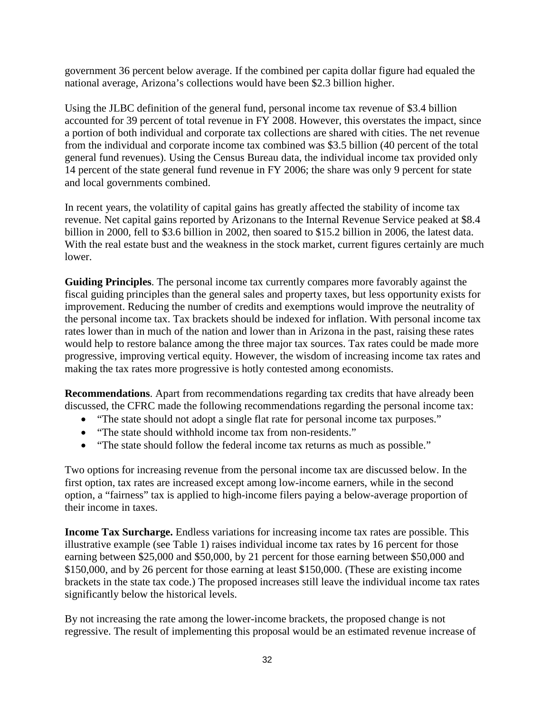government 36 percent below average. If the combined per capita dollar figure had equaled the national average, Arizona's collections would have been \$2.3 billion higher.

Using the JLBC definition of the general fund, personal income tax revenue of \$3.4 billion accounted for 39 percent of total revenue in FY 2008. However, this overstates the impact, since a portion of both individual and corporate tax collections are shared with cities. The net revenue from the individual and corporate income tax combined was \$3.5 billion (40 percent of the total general fund revenues). Using the Census Bureau data, the individual income tax provided only 14 percent of the state general fund revenue in FY 2006; the share was only 9 percent for state and local governments combined.

In recent years, the volatility of capital gains has greatly affected the stability of income tax revenue. Net capital gains reported by Arizonans to the Internal Revenue Service peaked at \$8.4 billion in 2000, fell to \$3.6 billion in 2002, then soared to \$15.2 billion in 2006, the latest data. With the real estate bust and the weakness in the stock market, current figures certainly are much lower.

**Guiding Principles**. The personal income tax currently compares more favorably against the fiscal guiding principles than the general sales and property taxes, but less opportunity exists for improvement. Reducing the number of credits and exemptions would improve the neutrality of the personal income tax. Tax brackets should be indexed for inflation. With personal income tax rates lower than in much of the nation and lower than in Arizona in the past, raising these rates would help to restore balance among the three major tax sources. Tax rates could be made more progressive, improving vertical equity. However, the wisdom of increasing income tax rates and making the tax rates more progressive is hotly contested among economists.

**Recommendations**. Apart from recommendations regarding tax credits that have already been discussed, the CFRC made the following recommendations regarding the personal income tax:

- "The state should not adopt a single flat rate for personal income tax purposes."
- "The state should withhold income tax from non-residents."
- "The state should follow the federal income tax returns as much as possible."

Two options for increasing revenue from the personal income tax are discussed below. In the first option, tax rates are increased except among low-income earners, while in the second option, a "fairness" tax is applied to high-income filers paying a below-average proportion of their income in taxes.

**Income Tax Surcharge.** Endless variations for increasing income tax rates are possible. This illustrative example (see Table 1) raises individual income tax rates by 16 percent for those earning between \$25,000 and \$50,000, by 21 percent for those earning between \$50,000 and \$150,000, and by 26 percent for those earning at least \$150,000. (These are existing income brackets in the state tax code.) The proposed increases still leave the individual income tax rates significantly below the historical levels.

By not increasing the rate among the lower-income brackets, the proposed change is not regressive. The result of implementing this proposal would be an estimated revenue increase of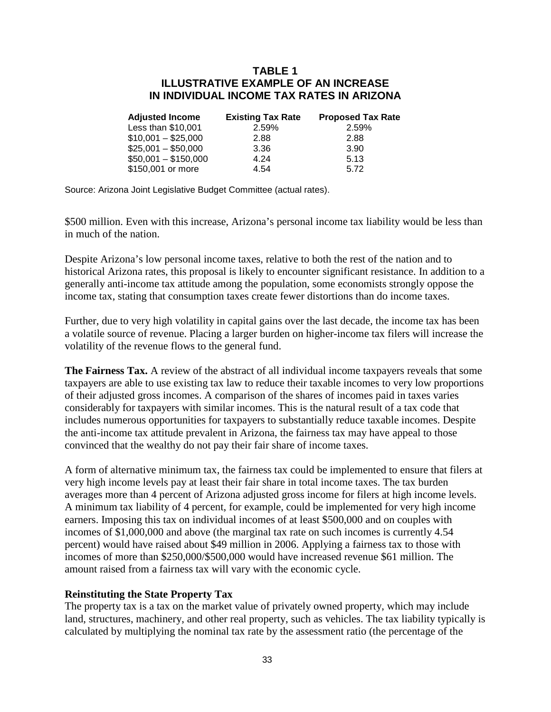## **TABLE 1 ILLUSTRATIVE EXAMPLE OF AN INCREASE IN INDIVIDUAL INCOME TAX RATES IN ARIZONA**

| <b>Adjusted Income</b> | <b>Existing Tax Rate</b> | <b>Proposed Tax Rate</b> |
|------------------------|--------------------------|--------------------------|
| Less than \$10,001     | 2.59%                    | 2.59%                    |
| $$10,001 - $25,000$    | 2.88                     | 2.88                     |
| $$25,001 - $50,000$    | 3.36                     | 3.90                     |
| $$50,001 - $150,000$   | 4.24                     | 5.13                     |
| \$150,001 or more      | 4.54                     | 5.72                     |

Source: Arizona Joint Legislative Budget Committee (actual rates).

\$500 million. Even with this increase, Arizona's personal income tax liability would be less than in much of the nation.

Despite Arizona's low personal income taxes, relative to both the rest of the nation and to historical Arizona rates, this proposal is likely to encounter significant resistance. In addition to a generally anti-income tax attitude among the population, some economists strongly oppose the income tax, stating that consumption taxes create fewer distortions than do income taxes.

Further, due to very high volatility in capital gains over the last decade, the income tax has been a volatile source of revenue. Placing a larger burden on higher-income tax filers will increase the volatility of the revenue flows to the general fund.

**The Fairness Tax.** A review of the abstract of all individual income taxpayers reveals that some taxpayers are able to use existing tax law to reduce their taxable incomes to very low proportions of their adjusted gross incomes. A comparison of the shares of incomes paid in taxes varies considerably for taxpayers with similar incomes. This is the natural result of a tax code that includes numerous opportunities for taxpayers to substantially reduce taxable incomes. Despite the anti-income tax attitude prevalent in Arizona, the fairness tax may have appeal to those convinced that the wealthy do not pay their fair share of income taxes.

A form of alternative minimum tax, the fairness tax could be implemented to ensure that filers at very high income levels pay at least their fair share in total income taxes. The tax burden averages more than 4 percent of Arizona adjusted gross income for filers at high income levels. A minimum tax liability of 4 percent, for example, could be implemented for very high income earners. Imposing this tax on individual incomes of at least \$500,000 and on couples with incomes of \$1,000,000 and above (the marginal tax rate on such incomes is currently 4.54 percent) would have raised about \$49 million in 2006. Applying a fairness tax to those with incomes of more than \$250,000/\$500,000 would have increased revenue \$61 million. The amount raised from a fairness tax will vary with the economic cycle.

#### **Reinstituting the State Property Tax**

The property tax is a tax on the market value of privately owned property, which may include land, structures, machinery, and other real property, such as vehicles. The tax liability typically is calculated by multiplying the nominal tax rate by the assessment ratio (the percentage of the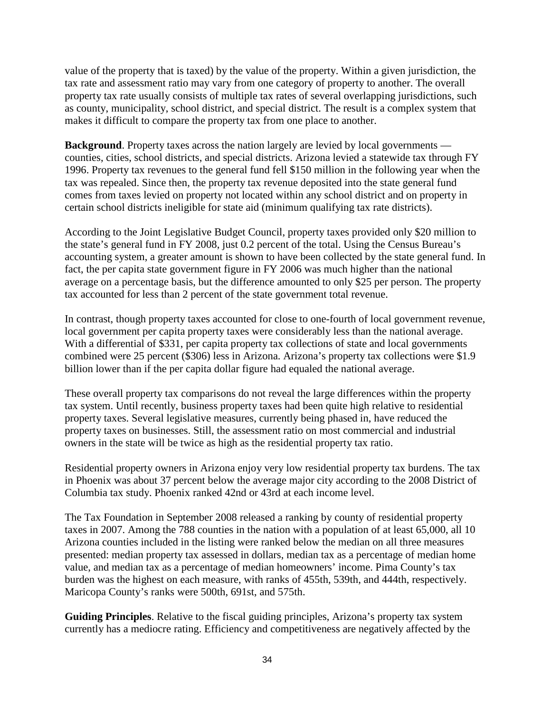value of the property that is taxed) by the value of the property. Within a given jurisdiction, the tax rate and assessment ratio may vary from one category of property to another. The overall property tax rate usually consists of multiple tax rates of several overlapping jurisdictions, such as county, municipality, school district, and special district. The result is a complex system that makes it difficult to compare the property tax from one place to another.

**Background**. Property taxes across the nation largely are levied by local governments counties, cities, school districts, and special districts. Arizona levied a statewide tax through FY 1996. Property tax revenues to the general fund fell \$150 million in the following year when the tax was repealed. Since then, the property tax revenue deposited into the state general fund comes from taxes levied on property not located within any school district and on property in certain school districts ineligible for state aid (minimum qualifying tax rate districts).

According to the Joint Legislative Budget Council, property taxes provided only \$20 million to the state's general fund in FY 2008, just 0.2 percent of the total. Using the Census Bureau's accounting system, a greater amount is shown to have been collected by the state general fund. In fact, the per capita state government figure in FY 2006 was much higher than the national average on a percentage basis, but the difference amounted to only \$25 per person. The property tax accounted for less than 2 percent of the state government total revenue.

In contrast, though property taxes accounted for close to one-fourth of local government revenue, local government per capita property taxes were considerably less than the national average. With a differential of \$331, per capita property tax collections of state and local governments combined were 25 percent (\$306) less in Arizona. Arizona's property tax collections were \$1.9 billion lower than if the per capita dollar figure had equaled the national average.

These overall property tax comparisons do not reveal the large differences within the property tax system. Until recently, business property taxes had been quite high relative to residential property taxes. Several legislative measures, currently being phased in, have reduced the property taxes on businesses. Still, the assessment ratio on most commercial and industrial owners in the state will be twice as high as the residential property tax ratio.

Residential property owners in Arizona enjoy very low residential property tax burdens. The tax in Phoenix was about 37 percent below the average major city according to the 2008 District of Columbia tax study. Phoenix ranked 42nd or 43rd at each income level.

The Tax Foundation in September 2008 released a ranking by county of residential property taxes in 2007. Among the 788 counties in the nation with a population of at least 65,000, all 10 Arizona counties included in the listing were ranked below the median on all three measures presented: median property tax assessed in dollars, median tax as a percentage of median home value, and median tax as a percentage of median homeowners' income. Pima County's tax burden was the highest on each measure, with ranks of 455th, 539th, and 444th, respectively. Maricopa County's ranks were 500th, 691st, and 575th.

**Guiding Principles**. Relative to the fiscal guiding principles, Arizona's property tax system currently has a mediocre rating. Efficiency and competitiveness are negatively affected by the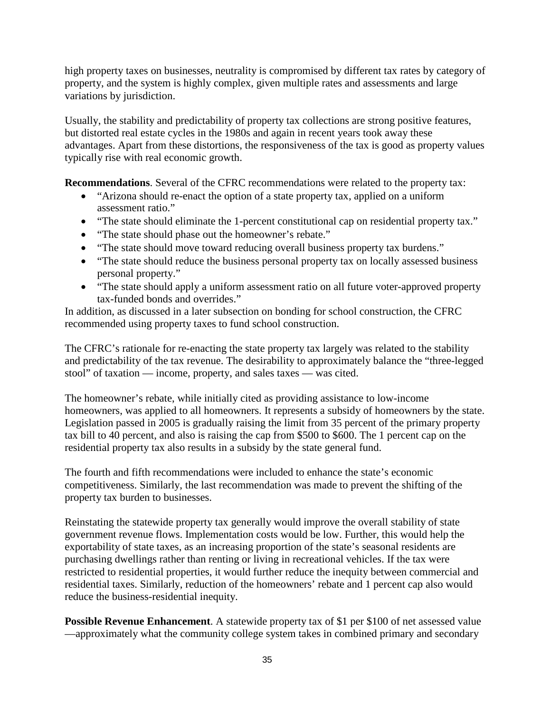high property taxes on businesses, neutrality is compromised by different tax rates by category of property, and the system is highly complex, given multiple rates and assessments and large variations by jurisdiction.

Usually, the stability and predictability of property tax collections are strong positive features, but distorted real estate cycles in the 1980s and again in recent years took away these advantages. Apart from these distortions, the responsiveness of the tax is good as property values typically rise with real economic growth.

**Recommendations**. Several of the CFRC recommendations were related to the property tax:

- "Arizona should re-enact the option of a state property tax, applied on a uniform assessment ratio."
- "The state should eliminate the 1-percent constitutional cap on residential property tax."
- "The state should phase out the homeowner's rebate."
- "The state should move toward reducing overall business property tax burdens."
- "The state should reduce the business personal property tax on locally assessed business personal property."
- "The state should apply a uniform assessment ratio on all future voter-approved property tax-funded bonds and overrides."

In addition, as discussed in a later subsection on bonding for school construction, the CFRC recommended using property taxes to fund school construction.

The CFRC's rationale for re-enacting the state property tax largely was related to the stability and predictability of the tax revenue. The desirability to approximately balance the "three-legged stool" of taxation — income, property, and sales taxes — was cited.

The homeowner's rebate, while initially cited as providing assistance to low-income homeowners, was applied to all homeowners. It represents a subsidy of homeowners by the state. Legislation passed in 2005 is gradually raising the limit from 35 percent of the primary property tax bill to 40 percent, and also is raising the cap from \$500 to \$600. The 1 percent cap on the residential property tax also results in a subsidy by the state general fund.

The fourth and fifth recommendations were included to enhance the state's economic competitiveness. Similarly, the last recommendation was made to prevent the shifting of the property tax burden to businesses.

Reinstating the statewide property tax generally would improve the overall stability of state government revenue flows. Implementation costs would be low. Further, this would help the exportability of state taxes, as an increasing proportion of the state's seasonal residents are purchasing dwellings rather than renting or living in recreational vehicles. If the tax were restricted to residential properties, it would further reduce the inequity between commercial and residential taxes. Similarly, reduction of the homeowners' rebate and 1 percent cap also would reduce the business-residential inequity.

**Possible Revenue Enhancement**. A statewide property tax of \$1 per \$100 of net assessed value —approximately what the community college system takes in combined primary and secondary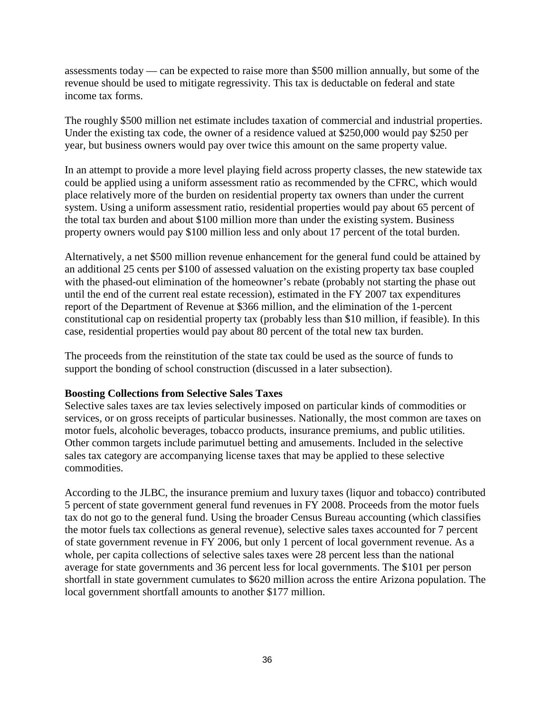assessments today — can be expected to raise more than \$500 million annually, but some of the revenue should be used to mitigate regressivity. This tax is deductable on federal and state income tax forms.

The roughly \$500 million net estimate includes taxation of commercial and industrial properties. Under the existing tax code, the owner of a residence valued at \$250,000 would pay \$250 per year, but business owners would pay over twice this amount on the same property value.

In an attempt to provide a more level playing field across property classes, the new statewide tax could be applied using a uniform assessment ratio as recommended by the CFRC, which would place relatively more of the burden on residential property tax owners than under the current system. Using a uniform assessment ratio, residential properties would pay about 65 percent of the total tax burden and about \$100 million more than under the existing system. Business property owners would pay \$100 million less and only about 17 percent of the total burden.

Alternatively, a net \$500 million revenue enhancement for the general fund could be attained by an additional 25 cents per \$100 of assessed valuation on the existing property tax base coupled with the phased-out elimination of the homeowner's rebate (probably not starting the phase out until the end of the current real estate recession), estimated in the FY 2007 tax expenditures report of the Department of Revenue at \$366 million, and the elimination of the 1-percent constitutional cap on residential property tax (probably less than \$10 million, if feasible). In this case, residential properties would pay about 80 percent of the total new tax burden.

The proceeds from the reinstitution of the state tax could be used as the source of funds to support the bonding of school construction (discussed in a later subsection).

## **Boosting Collections from Selective Sales Taxes**

Selective sales taxes are tax levies selectively imposed on particular kinds of commodities or services, or on gross receipts of particular businesses. Nationally, the most common are taxes on motor fuels, alcoholic beverages, tobacco products, insurance premiums, and public utilities. Other common targets include parimutuel betting and amusements. Included in the selective sales tax category are accompanying license taxes that may be applied to these selective commodities.

According to the JLBC, the insurance premium and luxury taxes (liquor and tobacco) contributed 5 percent of state government general fund revenues in FY 2008. Proceeds from the motor fuels tax do not go to the general fund. Using the broader Census Bureau accounting (which classifies the motor fuels tax collections as general revenue), selective sales taxes accounted for 7 percent of state government revenue in FY 2006, but only 1 percent of local government revenue. As a whole, per capita collections of selective sales taxes were 28 percent less than the national average for state governments and 36 percent less for local governments. The \$101 per person shortfall in state government cumulates to \$620 million across the entire Arizona population. The local government shortfall amounts to another \$177 million.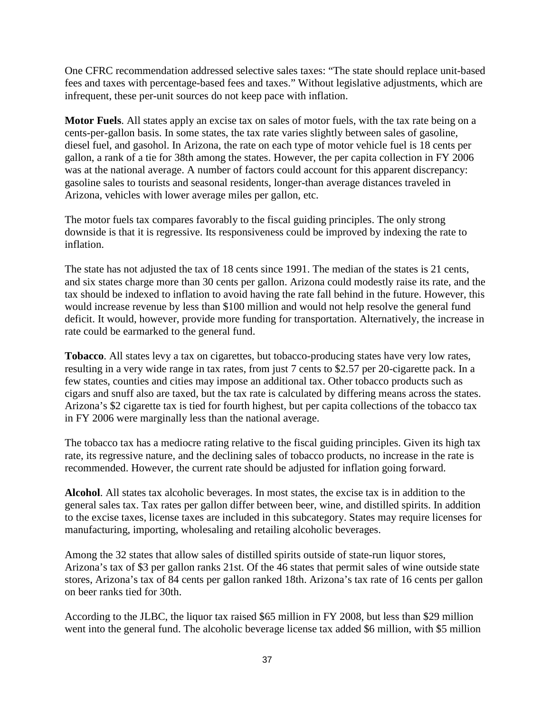One CFRC recommendation addressed selective sales taxes: "The state should replace unit-based fees and taxes with percentage-based fees and taxes." Without legislative adjustments, which are infrequent, these per-unit sources do not keep pace with inflation.

**Motor Fuels**. All states apply an excise tax on sales of motor fuels, with the tax rate being on a cents-per-gallon basis. In some states, the tax rate varies slightly between sales of gasoline, diesel fuel, and gasohol. In Arizona, the rate on each type of motor vehicle fuel is 18 cents per gallon, a rank of a tie for 38th among the states. However, the per capita collection in FY 2006 was at the national average. A number of factors could account for this apparent discrepancy: gasoline sales to tourists and seasonal residents, longer-than average distances traveled in Arizona, vehicles with lower average miles per gallon, etc.

The motor fuels tax compares favorably to the fiscal guiding principles. The only strong downside is that it is regressive. Its responsiveness could be improved by indexing the rate to inflation.

The state has not adjusted the tax of 18 cents since 1991. The median of the states is 21 cents, and six states charge more than 30 cents per gallon. Arizona could modestly raise its rate, and the tax should be indexed to inflation to avoid having the rate fall behind in the future. However, this would increase revenue by less than \$100 million and would not help resolve the general fund deficit. It would, however, provide more funding for transportation. Alternatively, the increase in rate could be earmarked to the general fund.

**Tobacco**. All states levy a tax on cigarettes, but tobacco-producing states have very low rates, resulting in a very wide range in tax rates, from just 7 cents to \$2.57 per 20-cigarette pack. In a few states, counties and cities may impose an additional tax. Other tobacco products such as cigars and snuff also are taxed, but the tax rate is calculated by differing means across the states. Arizona's \$2 cigarette tax is tied for fourth highest, but per capita collections of the tobacco tax in FY 2006 were marginally less than the national average.

The tobacco tax has a mediocre rating relative to the fiscal guiding principles. Given its high tax rate, its regressive nature, and the declining sales of tobacco products, no increase in the rate is recommended. However, the current rate should be adjusted for inflation going forward.

**Alcohol**. All states tax alcoholic beverages. In most states, the excise tax is in addition to the general sales tax. Tax rates per gallon differ between beer, wine, and distilled spirits. In addition to the excise taxes, license taxes are included in this subcategory. States may require licenses for manufacturing, importing, wholesaling and retailing alcoholic beverages.

Among the 32 states that allow sales of distilled spirits outside of state-run liquor stores, Arizona's tax of \$3 per gallon ranks 21st. Of the 46 states that permit sales of wine outside state stores, Arizona's tax of 84 cents per gallon ranked 18th. Arizona's tax rate of 16 cents per gallon on beer ranks tied for 30th.

According to the JLBC, the liquor tax raised \$65 million in FY 2008, but less than \$29 million went into the general fund. The alcoholic beverage license tax added \$6 million, with \$5 million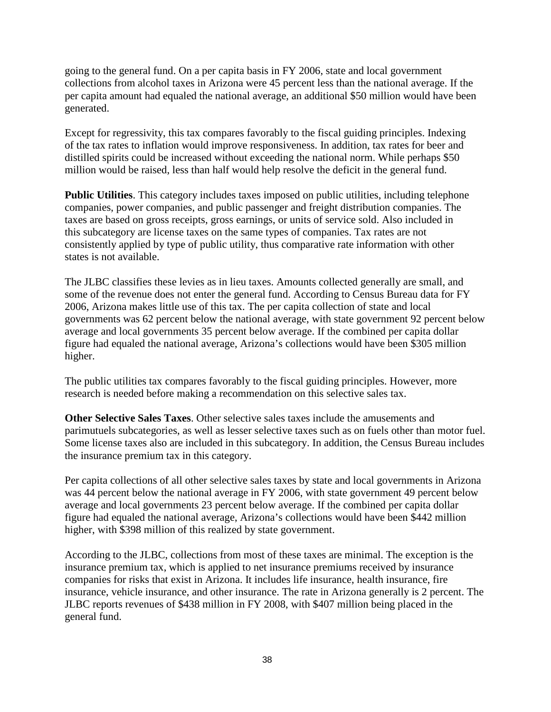going to the general fund. On a per capita basis in FY 2006, state and local government collections from alcohol taxes in Arizona were 45 percent less than the national average. If the per capita amount had equaled the national average, an additional \$50 million would have been generated.

Except for regressivity, this tax compares favorably to the fiscal guiding principles. Indexing of the tax rates to inflation would improve responsiveness. In addition, tax rates for beer and distilled spirits could be increased without exceeding the national norm. While perhaps \$50 million would be raised, less than half would help resolve the deficit in the general fund.

**Public Utilities**. This category includes taxes imposed on public utilities, including telephone companies, power companies, and public passenger and freight distribution companies. The taxes are based on gross receipts, gross earnings, or units of service sold. Also included in this subcategory are license taxes on the same types of companies. Tax rates are not consistently applied by type of public utility, thus comparative rate information with other states is not available.

The JLBC classifies these levies as in lieu taxes. Amounts collected generally are small, and some of the revenue does not enter the general fund. According to Census Bureau data for FY 2006, Arizona makes little use of this tax. The per capita collection of state and local governments was 62 percent below the national average, with state government 92 percent below average and local governments 35 percent below average. If the combined per capita dollar figure had equaled the national average, Arizona's collections would have been \$305 million higher.

The public utilities tax compares favorably to the fiscal guiding principles. However, more research is needed before making a recommendation on this selective sales tax.

**Other Selective Sales Taxes**. Other selective sales taxes include the amusements and parimutuels subcategories, as well as lesser selective taxes such as on fuels other than motor fuel. Some license taxes also are included in this subcategory. In addition, the Census Bureau includes the insurance premium tax in this category.

Per capita collections of all other selective sales taxes by state and local governments in Arizona was 44 percent below the national average in FY 2006, with state government 49 percent below average and local governments 23 percent below average. If the combined per capita dollar figure had equaled the national average, Arizona's collections would have been \$442 million higher, with \$398 million of this realized by state government.

According to the JLBC, collections from most of these taxes are minimal. The exception is the insurance premium tax, which is applied to net insurance premiums received by insurance companies for risks that exist in Arizona. It includes life insurance, health insurance, fire insurance, vehicle insurance, and other insurance. The rate in Arizona generally is 2 percent. The JLBC reports revenues of \$438 million in FY 2008, with \$407 million being placed in the general fund.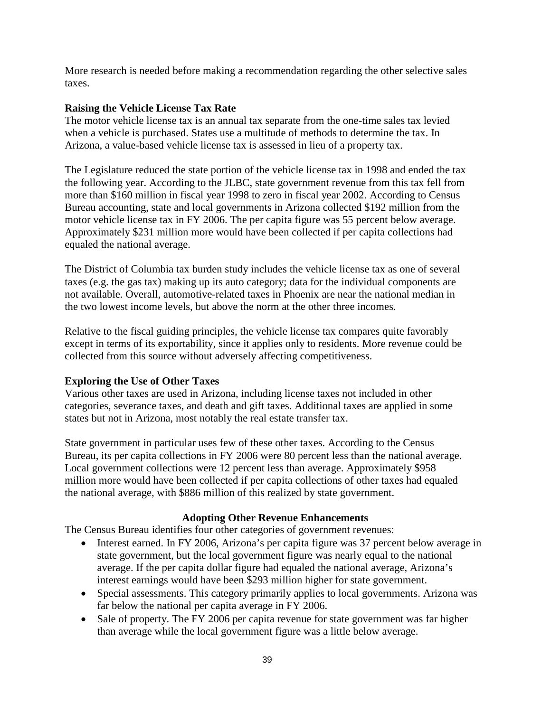More research is needed before making a recommendation regarding the other selective sales taxes.

## **Raising the Vehicle License Tax Rate**

The motor vehicle license tax is an annual tax separate from the one-time sales tax levied when a vehicle is purchased. States use a multitude of methods to determine the tax. In Arizona, a value-based vehicle license tax is assessed in lieu of a property tax.

The Legislature reduced the state portion of the vehicle license tax in 1998 and ended the tax the following year. According to the JLBC, state government revenue from this tax fell from more than \$160 million in fiscal year 1998 to zero in fiscal year 2002. According to Census Bureau accounting, state and local governments in Arizona collected \$192 million from the motor vehicle license tax in FY 2006. The per capita figure was 55 percent below average. Approximately \$231 million more would have been collected if per capita collections had equaled the national average.

The District of Columbia tax burden study includes the vehicle license tax as one of several taxes (e.g. the gas tax) making up its auto category; data for the individual components are not available. Overall, automotive-related taxes in Phoenix are near the national median in the two lowest income levels, but above the norm at the other three incomes.

Relative to the fiscal guiding principles, the vehicle license tax compares quite favorably except in terms of its exportability, since it applies only to residents. More revenue could be collected from this source without adversely affecting competitiveness.

## **Exploring the Use of Other Taxes**

Various other taxes are used in Arizona, including license taxes not included in other categories, severance taxes, and death and gift taxes. Additional taxes are applied in some states but not in Arizona, most notably the real estate transfer tax.

State government in particular uses few of these other taxes. According to the Census Bureau, its per capita collections in FY 2006 were 80 percent less than the national average. Local government collections were 12 percent less than average. Approximately \$958 million more would have been collected if per capita collections of other taxes had equaled the national average, with \$886 million of this realized by state government.

## **Adopting Other Revenue Enhancements**

The Census Bureau identifies four other categories of government revenues:

- Interest earned. In FY 2006, Arizona's per capita figure was 37 percent below average in state government, but the local government figure was nearly equal to the national average. If the per capita dollar figure had equaled the national average, Arizona's interest earnings would have been \$293 million higher for state government.
- Special assessments. This category primarily applies to local governments. Arizona was far below the national per capita average in FY 2006.
- Sale of property. The FY 2006 per capita revenue for state government was far higher than average while the local government figure was a little below average.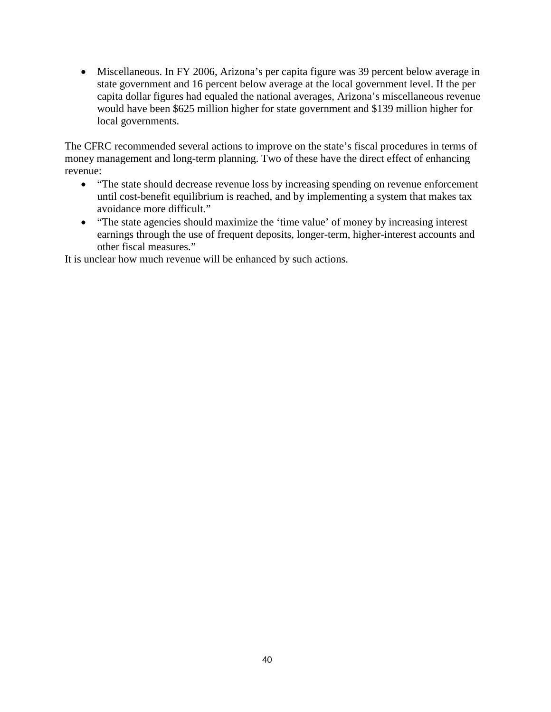• Miscellaneous. In FY 2006, Arizona's per capita figure was 39 percent below average in state government and 16 percent below average at the local government level. If the per capita dollar figures had equaled the national averages, Arizona's miscellaneous revenue would have been \$625 million higher for state government and \$139 million higher for local governments.

The CFRC recommended several actions to improve on the state's fiscal procedures in terms of money management and long-term planning. Two of these have the direct effect of enhancing revenue:

- "The state should decrease revenue loss by increasing spending on revenue enforcement until cost-benefit equilibrium is reached, and by implementing a system that makes tax avoidance more difficult."
- "The state agencies should maximize the 'time value' of money by increasing interest earnings through the use of frequent deposits, longer-term, higher-interest accounts and other fiscal measures."

It is unclear how much revenue will be enhanced by such actions.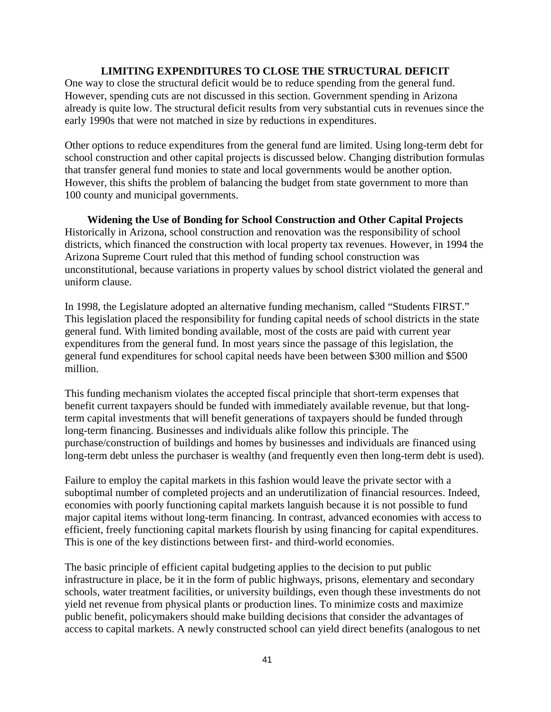#### **LIMITING EXPENDITURES TO CLOSE THE STRUCTURAL DEFICIT**

One way to close the structural deficit would be to reduce spending from the general fund. However, spending cuts are not discussed in this section. Government spending in Arizona already is quite low. The structural deficit results from very substantial cuts in revenues since the early 1990s that were not matched in size by reductions in expenditures.

Other options to reduce expenditures from the general fund are limited. Using long-term debt for school construction and other capital projects is discussed below. Changing distribution formulas that transfer general fund monies to state and local governments would be another option. However, this shifts the problem of balancing the budget from state government to more than 100 county and municipal governments.

**Widening the Use of Bonding for School Construction and Other Capital Projects** Historically in Arizona, school construction and renovation was the responsibility of school districts, which financed the construction with local property tax revenues. However, in 1994 the Arizona Supreme Court ruled that this method of funding school construction was unconstitutional, because variations in property values by school district violated the general and uniform clause.

In 1998, the Legislature adopted an alternative funding mechanism, called "Students FIRST." This legislation placed the responsibility for funding capital needs of school districts in the state general fund. With limited bonding available, most of the costs are paid with current year expenditures from the general fund. In most years since the passage of this legislation, the general fund expenditures for school capital needs have been between \$300 million and \$500 million.

This funding mechanism violates the accepted fiscal principle that short-term expenses that benefit current taxpayers should be funded with immediately available revenue, but that longterm capital investments that will benefit generations of taxpayers should be funded through long-term financing. Businesses and individuals alike follow this principle. The purchase/construction of buildings and homes by businesses and individuals are financed using long-term debt unless the purchaser is wealthy (and frequently even then long-term debt is used).

Failure to employ the capital markets in this fashion would leave the private sector with a suboptimal number of completed projects and an underutilization of financial resources. Indeed, economies with poorly functioning capital markets languish because it is not possible to fund major capital items without long-term financing. In contrast, advanced economies with access to efficient, freely functioning capital markets flourish by using financing for capital expenditures. This is one of the key distinctions between first- and third-world economies.

The basic principle of efficient capital budgeting applies to the decision to put public infrastructure in place, be it in the form of public highways, prisons, elementary and secondary schools, water treatment facilities, or university buildings, even though these investments do not yield net revenue from physical plants or production lines. To minimize costs and maximize public benefit, policymakers should make building decisions that consider the advantages of access to capital markets. A newly constructed school can yield direct benefits (analogous to net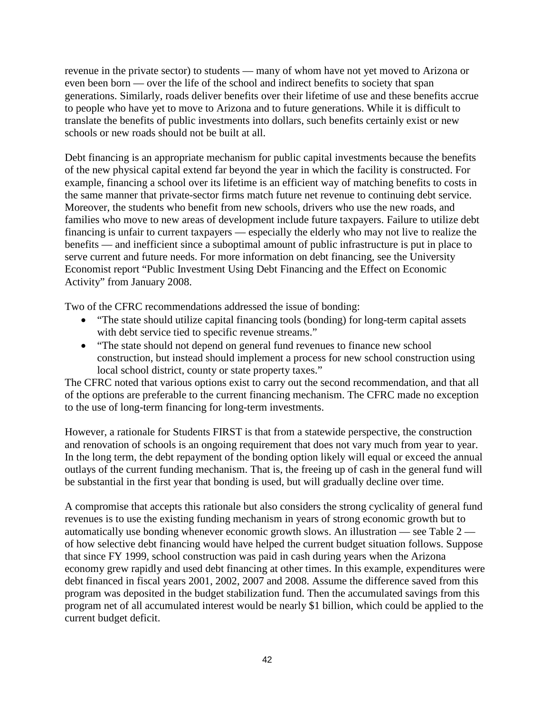revenue in the private sector) to students — many of whom have not yet moved to Arizona or even been born — over the life of the school and indirect benefits to society that span generations. Similarly, roads deliver benefits over their lifetime of use and these benefits accrue to people who have yet to move to Arizona and to future generations. While it is difficult to translate the benefits of public investments into dollars, such benefits certainly exist or new schools or new roads should not be built at all.

Debt financing is an appropriate mechanism for public capital investments because the benefits of the new physical capital extend far beyond the year in which the facility is constructed. For example, financing a school over its lifetime is an efficient way of matching benefits to costs in the same manner that private-sector firms match future net revenue to continuing debt service. Moreover, the students who benefit from new schools, drivers who use the new roads, and families who move to new areas of development include future taxpayers. Failure to utilize debt financing is unfair to current taxpayers — especially the elderly who may not live to realize the benefits — and inefficient since a suboptimal amount of public infrastructure is put in place to serve current and future needs. For more information on debt financing, see the University Economist report "Public Investment Using Debt Financing and the Effect on Economic Activity" from January 2008.

Two of the CFRC recommendations addressed the issue of bonding:

- "The state should utilize capital financing tools (bonding) for long-term capital assets with debt service tied to specific revenue streams."
- "The state should not depend on general fund revenues to finance new school construction, but instead should implement a process for new school construction using local school district, county or state property taxes."

The CFRC noted that various options exist to carry out the second recommendation, and that all of the options are preferable to the current financing mechanism. The CFRC made no exception to the use of long-term financing for long-term investments.

However, a rationale for Students FIRST is that from a statewide perspective, the construction and renovation of schools is an ongoing requirement that does not vary much from year to year. In the long term, the debt repayment of the bonding option likely will equal or exceed the annual outlays of the current funding mechanism. That is, the freeing up of cash in the general fund will be substantial in the first year that bonding is used, but will gradually decline over time.

A compromise that accepts this rationale but also considers the strong cyclicality of general fund revenues is to use the existing funding mechanism in years of strong economic growth but to automatically use bonding whenever economic growth slows. An illustration — see Table  $2$  of how selective debt financing would have helped the current budget situation follows. Suppose that since FY 1999, school construction was paid in cash during years when the Arizona economy grew rapidly and used debt financing at other times. In this example, expenditures were debt financed in fiscal years 2001, 2002, 2007 and 2008. Assume the difference saved from this program was deposited in the budget stabilization fund. Then the accumulated savings from this program net of all accumulated interest would be nearly \$1 billion, which could be applied to the current budget deficit.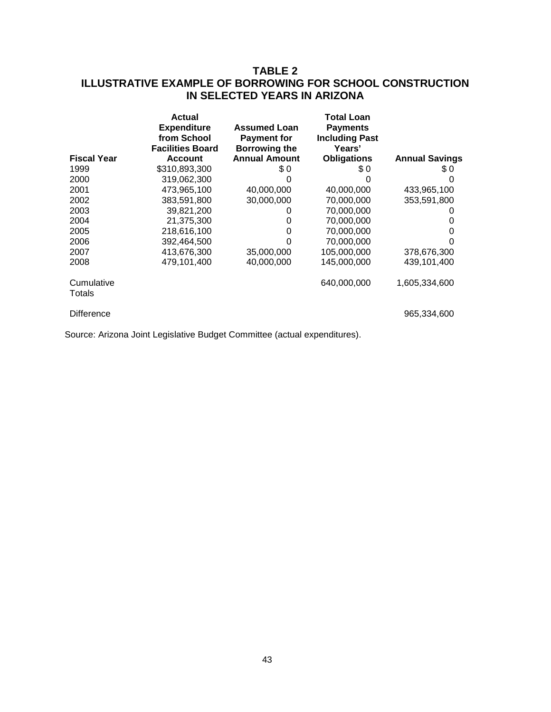## **TABLE 2 ILLUSTRATIVE EXAMPLE OF BORROWING FOR SCHOOL CONSTRUCTION IN SELECTED YEARS IN ARIZONA**

|                      | Actual                                                       |                                                                   | Total Loan                                         |                       |
|----------------------|--------------------------------------------------------------|-------------------------------------------------------------------|----------------------------------------------------|-----------------------|
|                      | <b>Expenditure</b><br>from School<br><b>Facilities Board</b> | <b>Assumed Loan</b><br><b>Payment for</b><br><b>Borrowing the</b> | <b>Payments</b><br><b>Including Past</b><br>Years' |                       |
| <b>Fiscal Year</b>   | <b>Account</b>                                               | <b>Annual Amount</b>                                              | <b>Obligations</b>                                 | <b>Annual Savings</b> |
| 1999                 | \$310,893,300                                                | \$0                                                               | \$0                                                | \$0                   |
| 2000                 | 319,062,300                                                  |                                                                   |                                                    | O                     |
| 2001                 | 473,965,100                                                  | 40,000,000                                                        | 40,000,000                                         | 433,965,100           |
| 2002                 | 383,591,800                                                  | 30,000,000                                                        | 70,000,000                                         | 353,591,800           |
| 2003                 | 39,821,200                                                   |                                                                   | 70,000,000                                         |                       |
| 2004                 | 21,375,300                                                   |                                                                   | 70,000,000                                         | 0                     |
| 2005                 | 218,616,100                                                  | 0                                                                 | 70,000,000                                         | O                     |
| 2006                 | 392,464,500                                                  |                                                                   | 70,000,000                                         |                       |
| 2007                 | 413,676,300                                                  | 35,000,000                                                        | 105,000,000                                        | 378,676,300           |
| 2008                 | 479.101.400                                                  | 40,000,000                                                        | 145,000,000                                        | 439,101,400           |
| Cumulative<br>Totals |                                                              |                                                                   | 640,000,000                                        | 1,605,334,600         |
| <b>Difference</b>    |                                                              |                                                                   |                                                    | 965,334,600           |

Source: Arizona Joint Legislative Budget Committee (actual expenditures).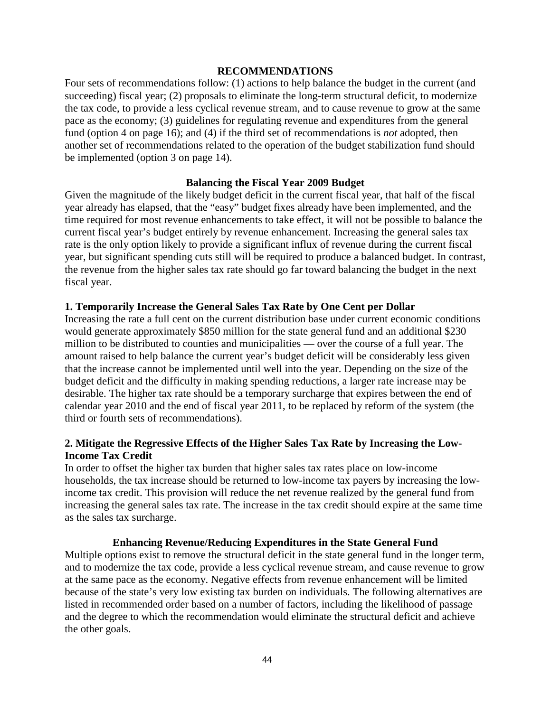#### **RECOMMENDATIONS**

Four sets of recommendations follow: (1) actions to help balance the budget in the current (and succeeding) fiscal year; (2) proposals to eliminate the long-term structural deficit, to modernize the tax code, to provide a less cyclical revenue stream, and to cause revenue to grow at the same pace as the economy; (3) guidelines for regulating revenue and expenditures from the general fund (option 4 on page 16); and (4) if the third set of recommendations is *not* adopted, then another set of recommendations related to the operation of the budget stabilization fund should be implemented (option 3 on page 14).

## **Balancing the Fiscal Year 2009 Budget**

Given the magnitude of the likely budget deficit in the current fiscal year, that half of the fiscal year already has elapsed, that the "easy" budget fixes already have been implemented, and the time required for most revenue enhancements to take effect, it will not be possible to balance the current fiscal year's budget entirely by revenue enhancement. Increasing the general sales tax rate is the only option likely to provide a significant influx of revenue during the current fiscal year, but significant spending cuts still will be required to produce a balanced budget. In contrast, the revenue from the higher sales tax rate should go far toward balancing the budget in the next fiscal year.

## **1. Temporarily Increase the General Sales Tax Rate by One Cent per Dollar**

Increasing the rate a full cent on the current distribution base under current economic conditions would generate approximately \$850 million for the state general fund and an additional \$230 million to be distributed to counties and municipalities — over the course of a full year. The amount raised to help balance the current year's budget deficit will be considerably less given that the increase cannot be implemented until well into the year. Depending on the size of the budget deficit and the difficulty in making spending reductions, a larger rate increase may be desirable. The higher tax rate should be a temporary surcharge that expires between the end of calendar year 2010 and the end of fiscal year 2011, to be replaced by reform of the system (the third or fourth sets of recommendations).

## **2. Mitigate the Regressive Effects of the Higher Sales Tax Rate by Increasing the Low-Income Tax Credit**

In order to offset the higher tax burden that higher sales tax rates place on low-income households, the tax increase should be returned to low-income tax payers by increasing the lowincome tax credit. This provision will reduce the net revenue realized by the general fund from increasing the general sales tax rate. The increase in the tax credit should expire at the same time as the sales tax surcharge.

## **Enhancing Revenue/Reducing Expenditures in the State General Fund**

Multiple options exist to remove the structural deficit in the state general fund in the longer term, and to modernize the tax code, provide a less cyclical revenue stream, and cause revenue to grow at the same pace as the economy. Negative effects from revenue enhancement will be limited because of the state's very low existing tax burden on individuals. The following alternatives are listed in recommended order based on a number of factors, including the likelihood of passage and the degree to which the recommendation would eliminate the structural deficit and achieve the other goals.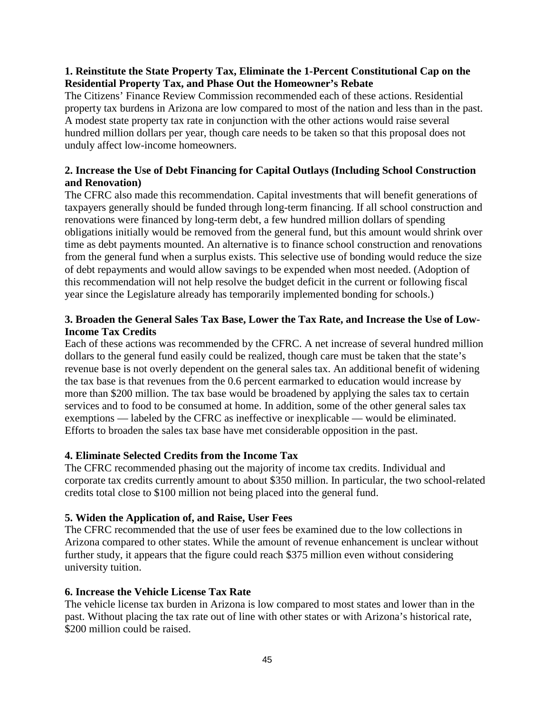## **1. Reinstitute the State Property Tax, Eliminate the 1-Percent Constitutional Cap on the Residential Property Tax, and Phase Out the Homeowner's Rebate**

The Citizens' Finance Review Commission recommended each of these actions. Residential property tax burdens in Arizona are low compared to most of the nation and less than in the past. A modest state property tax rate in conjunction with the other actions would raise several hundred million dollars per year, though care needs to be taken so that this proposal does not unduly affect low-income homeowners.

## **2. Increase the Use of Debt Financing for Capital Outlays (Including School Construction and Renovation)**

The CFRC also made this recommendation. Capital investments that will benefit generations of taxpayers generally should be funded through long-term financing. If all school construction and renovations were financed by long-term debt, a few hundred million dollars of spending obligations initially would be removed from the general fund, but this amount would shrink over time as debt payments mounted. An alternative is to finance school construction and renovations from the general fund when a surplus exists. This selective use of bonding would reduce the size of debt repayments and would allow savings to be expended when most needed. (Adoption of this recommendation will not help resolve the budget deficit in the current or following fiscal year since the Legislature already has temporarily implemented bonding for schools.)

## **3. Broaden the General Sales Tax Base, Lower the Tax Rate, and Increase the Use of Low-Income Tax Credits**

Each of these actions was recommended by the CFRC. A net increase of several hundred million dollars to the general fund easily could be realized, though care must be taken that the state's revenue base is not overly dependent on the general sales tax. An additional benefit of widening the tax base is that revenues from the 0.6 percent earmarked to education would increase by more than \$200 million. The tax base would be broadened by applying the sales tax to certain services and to food to be consumed at home. In addition, some of the other general sales tax exemptions — labeled by the CFRC as ineffective or inexplicable — would be eliminated. Efforts to broaden the sales tax base have met considerable opposition in the past.

## **4. Eliminate Selected Credits from the Income Tax**

The CFRC recommended phasing out the majority of income tax credits. Individual and corporate tax credits currently amount to about \$350 million. In particular, the two school-related credits total close to \$100 million not being placed into the general fund.

## **5. Widen the Application of, and Raise, User Fees**

The CFRC recommended that the use of user fees be examined due to the low collections in Arizona compared to other states. While the amount of revenue enhancement is unclear without further study, it appears that the figure could reach \$375 million even without considering university tuition.

## **6. Increase the Vehicle License Tax Rate**

The vehicle license tax burden in Arizona is low compared to most states and lower than in the past. Without placing the tax rate out of line with other states or with Arizona's historical rate, \$200 million could be raised.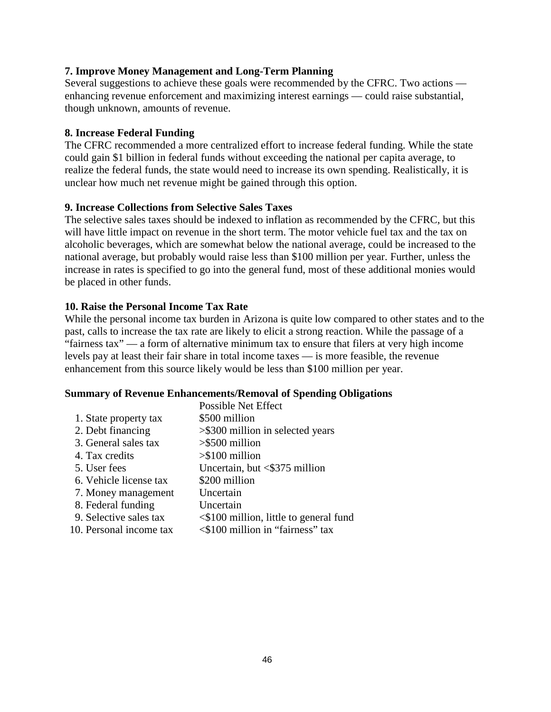## **7. Improve Money Management and Long-Term Planning**

Several suggestions to achieve these goals were recommended by the CFRC. Two actions enhancing revenue enforcement and maximizing interest earnings — could raise substantial, though unknown, amounts of revenue.

## **8. Increase Federal Funding**

The CFRC recommended a more centralized effort to increase federal funding. While the state could gain \$1 billion in federal funds without exceeding the national per capita average, to realize the federal funds, the state would need to increase its own spending. Realistically, it is unclear how much net revenue might be gained through this option.

## **9. Increase Collections from Selective Sales Taxes**

The selective sales taxes should be indexed to inflation as recommended by the CFRC, but this will have little impact on revenue in the short term. The motor vehicle fuel tax and the tax on alcoholic beverages, which are somewhat below the national average, could be increased to the national average, but probably would raise less than \$100 million per year. Further, unless the increase in rates is specified to go into the general fund, most of these additional monies would be placed in other funds.

## **10. Raise the Personal Income Tax Rate**

While the personal income tax burden in Arizona is quite low compared to other states and to the past, calls to increase the tax rate are likely to elicit a strong reaction. While the passage of a "fairness tax" — a form of alternative minimum tax to ensure that filers at very high income levels pay at least their fair share in total income taxes — is more feasible, the revenue enhancement from this source likely would be less than \$100 million per year.

## **Summary of Revenue Enhancements/Removal of Spending Obligations**

|                         | <b>Possible Net Effect</b>                   |
|-------------------------|----------------------------------------------|
| 1. State property tax   | \$500 million                                |
| 2. Debt financing       | $>\$ 300 million in selected years           |
| 3. General sales tax    | $>$ \$500 million                            |
| 4. Tax credits          | $> $100$ million                             |
| 5. User fees            | Uncertain, but <\$375 million                |
| 6. Vehicle license tax  | \$200 million                                |
| 7. Money management     | Uncertain                                    |
| 8. Federal funding      | Uncertain                                    |
| 9. Selective sales tax  | $\leq$ \$100 million, little to general fund |
| 10. Personal income tax | <\$100 million in "fairness" tax             |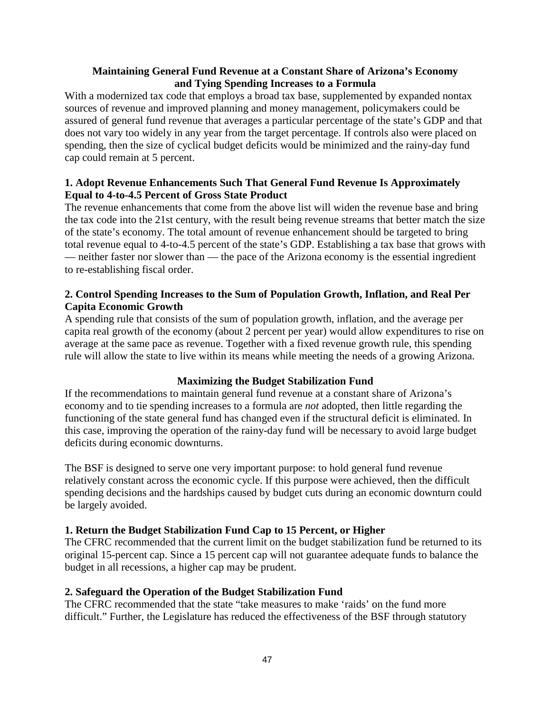## **Maintaining General Fund Revenue at a Constant Share of Arizona's Economy and Tying Spending Increases to a Formula**

With a modernized tax code that employs a broad tax base, supplemented by expanded nontax sources of revenue and improved planning and money management, policymakers could be assured of general fund revenue that averages a particular percentage of the state's GDP and that does not vary too widely in any year from the target percentage. If controls also were placed on spending, then the size of cyclical budget deficits would be minimized and the rainy-day fund cap could remain at 5 percent.

## **1. Adopt Revenue Enhancements Such That General Fund Revenue Is Approximately Equal to 4-to-4.5 Percent of Gross State Product**

The revenue enhancements that come from the above list will widen the revenue base and bring the tax code into the 21st century, with the result being revenue streams that better match the size of the state's economy. The total amount of revenue enhancement should be targeted to bring total revenue equal to 4-to-4.5 percent of the state's GDP. Establishing a tax base that grows with — neither faster nor slower than — the pace of the Arizona economy is the essential ingredient to re-establishing fiscal order.

## **2. Control Spending Increases to the Sum of Population Growth, Inflation, and Real Per Capita Economic Growth**

A spending rule that consists of the sum of population growth, inflation, and the average per capita real growth of the economy (about 2 percent per year) would allow expenditures to rise on average at the same pace as revenue. Together with a fixed revenue growth rule, this spending rule will allow the state to live within its means while meeting the needs of a growing Arizona.

## **Maximizing the Budget Stabilization Fund**

If the recommendations to maintain general fund revenue at a constant share of Arizona's economy and to tie spending increases to a formula are *not* adopted, then little regarding the functioning of the state general fund has changed even if the structural deficit is eliminated. In this case, improving the operation of the rainy-day fund will be necessary to avoid large budget deficits during economic downturns.

The BSF is designed to serve one very important purpose: to hold general fund revenue relatively constant across the economic cycle. If this purpose were achieved, then the difficult spending decisions and the hardships caused by budget cuts during an economic downturn could be largely avoided.

## **1. Return the Budget Stabilization Fund Cap to 15 Percent, or Higher**

The CFRC recommended that the current limit on the budget stabilization fund be returned to its original 15-percent cap. Since a 15 percent cap will not guarantee adequate funds to balance the budget in all recessions, a higher cap may be prudent.

## **2. Safeguard the Operation of the Budget Stabilization Fund**

The CFRC recommended that the state "take measures to make 'raids' on the fund more difficult." Further, the Legislature has reduced the effectiveness of the BSF through statutory